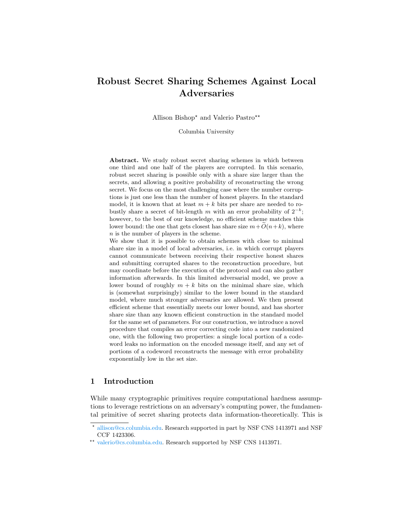# Robust Secret Sharing Schemes Against Local Adversaries

Allison Bishop\* and Valerio Pastro\*\*

Columbia University

Abstract. We study robust secret sharing schemes in which between one third and one half of the players are corrupted. In this scenario, robust secret sharing is possible only with a share size larger than the secrets, and allowing a positive probability of reconstructing the wrong secret. We focus on the most challenging case where the number corruptions is just one less than the number of honest players. In the standard model, it is known that at least  $m + k$  bits per share are needed to robustly share a secret of bit-length m with an error probability of  $2^{-k}$ ; however, to the best of our knowledge, no efficient scheme matches this lower bound: the one that gets closest has share size  $m+O(n+k)$ , where n is the number of players in the scheme.

We show that it is possible to obtain schemes with close to minimal share size in a model of local adversaries, i.e. in which corrupt players cannot communicate between receiving their respective honest shares and submitting corrupted shares to the reconstruction procedure, but may coordinate before the execution of the protocol and can also gather information afterwards. In this limited adversarial model, we prove a lower bound of roughly  $m + k$  bits on the minimal share size, which is (somewhat surprisingly) similar to the lower bound in the standard model, where much stronger adversaries are allowed. We then present efficient scheme that essentially meets our lower bound, and has shorter share size than any known efficient construction in the standard model for the same set of parameters. For our construction, we introduce a novel procedure that compiles an error correcting code into a new randomized one, with the following two properties: a single local portion of a codeword leaks no information on the encoded message itself, and any set of portions of a codeword reconstructs the message with error probability exponentially low in the set size.

# 1 Introduction

While many cryptographic primitives require computational hardness assumptions to leverage restrictions on an adversary's computing power, the fundamental primitive of secret sharing protects data information-theoretically. This is

<sup>?</sup> [allison@cs.columbia.edu.](mailto:alewko@cs.columbia.edu) Research supported in part by NSF CNS 1413971 and NSF CCF 1423306.

<sup>\*\*</sup> [valerio@cs.columbia.edu.](mailto:valerio@cs.columbia.edu) Research supported by NSF CNS 1413971.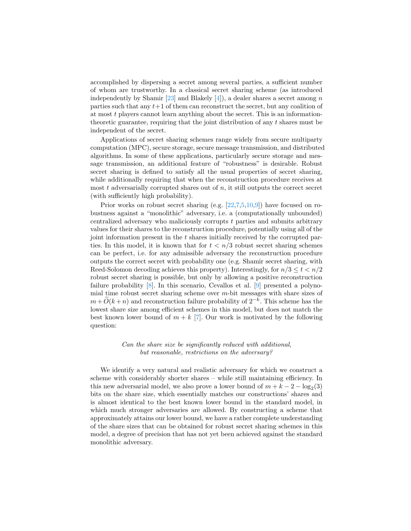accomplished by dispersing a secret among several parties, a sufficient number of whom are trustworthy. In a classical secret sharing scheme (as introduced independently by Shamir [\[23\]](#page-23-0) and Blakely [\[4\]](#page-22-0)), a dealer shares a secret among n parties such that any  $t+1$  of them can reconstruct the secret, but any coalition of at most t players cannot learn anything about the secret. This is an informationtheoretic guarantee, requiring that the joint distribution of any  $t$  shares must be independent of the secret.

Applications of secret sharing schemes range widely from secure multiparty computation (MPC), secure storage, secure message transmission, and distributed algorithms. In some of these applications, particularly secure storage and message transmission, an additional feature of "robustness" is desirable. Robust secret sharing is defined to satisfy all the usual properties of secret sharing, while additionally requiring that when the reconstruction procedure receives at most  $t$  adversarially corrupted shares out of  $n$ , it still outputs the correct secret (with sufficiently high probability).

Prior works on robust secret sharing  $(e.g. [22,7,5,10,9])$  $(e.g. [22,7,5,10,9])$  $(e.g. [22,7,5,10,9])$  $(e.g. [22,7,5,10,9])$  $(e.g. [22,7,5,10,9])$  $(e.g. [22,7,5,10,9])$  $(e.g. [22,7,5,10,9])$  have focused on robustness against a "monolithic" adversary, i.e. a (computationally unbounded) centralized adversary who maliciously corrupts t parties and submits arbitrary values for their shares to the reconstruction procedure, potentially using all of the joint information present in the t shares initially received by the corrupted parties. In this model, it is known that for  $t < n/3$  robust secret sharing schemes can be perfect, i.e. for any admissible adversary the reconstruction procedure outputs the correct secret with probability one (e.g. Shamir secret sharing, with Reed-Solomon decoding achieves this property). Interestingly, for  $n/3 \le t < n/2$ robust secret sharing is possible, but only by allowing a positive reconstruction failure probability [\[8\]](#page-22-5). In this scenario, Cevallos et al. [\[9\]](#page-22-4) presented a polynomial time robust secret sharing scheme over m-bit messages with share sizes of  $m + \widetilde{O}(k + n)$  and reconstruction failure probability of  $2^{-k}$ . This scheme has the lowest share size among efficient schemes in this model, but does not match the best known lower bound of  $m + k$  [\[7\]](#page-22-1). Our work is motivated by the following question:

# Can the share size be significantly reduced with additional, but reasonable, restrictions on the adversary?

We identify a very natural and realistic adversary for which we construct a scheme with considerably shorter shares – while still maintaining efficiency. In this new adversarial model, we also prove a lower bound of  $m + k - 2 - \log_2(3)$ bits on the share size, which essentially matches our constructions' shares and is almost identical to the best known lower bound in the standard model, in which much stronger adversaries are allowed. By constructing a scheme that approximately attains our lower bound, we have a rather complete understanding of the share sizes that can be obtained for robust secret sharing schemes in this model, a degree of precision that has not yet been achieved against the standard monolithic adversary.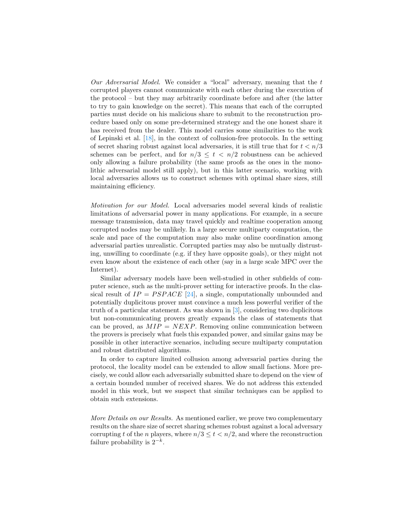Our Adversarial Model. We consider a "local" adversary, meaning that the t corrupted players cannot communicate with each other during the execution of the protocol – but they may arbitrarily coordinate before and after (the latter to try to gain knowledge on the secret). This means that each of the corrupted parties must decide on his malicious share to submit to the reconstruction procedure based only on some pre-determined strategy and the one honest share it has received from the dealer. This model carries some similarities to the work of Lepinski et al. [\[18\]](#page-23-2), in the context of collusion-free protocols. In the setting of secret sharing robust against local adversaries, it is still true that for  $t < n/3$ schemes can be perfect, and for  $n/3 \le t < n/2$  robustness can be achieved only allowing a failure probability (the same proofs as the ones in the monolithic adversarial model still apply), but in this latter scenario, working with local adversaries allows us to construct schemes with optimal share sizes, still maintaining efficiency.

Motivation for our Model. Local adversaries model several kinds of realistic limitations of adversarial power in many applications. For example, in a secure message transmission, data may travel quickly and realtime cooperation among corrupted nodes may be unlikely. In a large secure multiparty computation, the scale and pace of the computation may also make online coordination among adversarial parties unrealistic. Corrupted parties may also be mutually distrusting, unwilling to coordinate (e.g. if they have opposite goals), or they might not even know about the existence of each other (say in a large scale MPC over the Internet).

Similar adversary models have been well-studied in other subfields of computer science, such as the multi-prover setting for interactive proofs. In the classical result of  $IP = PSPACE$  [\[24\]](#page-23-3), a single, computationally unbounded and potentially duplicitous prover must convince a much less powerful verifier of the truth of a particular statement. As was shown in [\[3\]](#page-22-6), considering two duplicitous but non-communicating provers greatly expands the class of statements that can be proved, as  $MIP = NEXP$ . Removing online communication between the provers is precisely what fuels this expanded power, and similar gains may be possible in other interactive scenarios, including secure multiparty computation and robust distributed algorithms.

In order to capture limited collusion among adversarial parties during the protocol, the locality model can be extended to allow small factions. More precisely, we could allow each adversarially submitted share to depend on the view of a certain bounded number of received shares. We do not address this extended model in this work, but we suspect that similar techniques can be applied to obtain such extensions.

More Details on our Results. As mentioned earlier, we prove two complementary results on the share size of secret sharing schemes robust against a local adversary corrupting t of the n players, where  $n/3 \le t < n/2$ , and where the reconstruction failure probability is  $2^{-k}$ .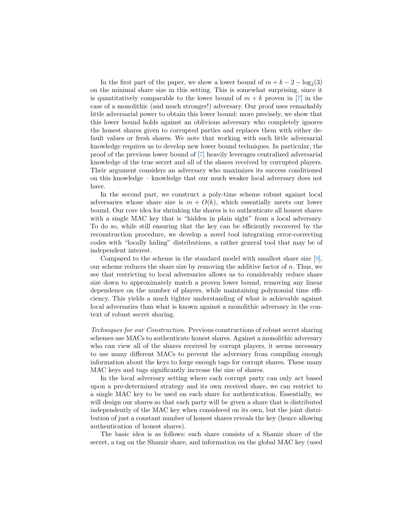In the first part of the paper, we show a lower bound of  $m + k - 2 - \log_2(3)$ on the minimal share size in this setting. This is somewhat surprising, since it is quantitatively comparable to the lower bound of  $m + k$  proven in [\[7\]](#page-22-1) in the case of a monolithic (and much stronger!) adversary. Our proof uses remarkably little adversarial power to obtain this lower bound: more precisely, we show that this lower bound holds against an oblivious adversary who completely ignores the honest shares given to corrupted parties and replaces them with either default values or fresh shares. We note that working with such little adversarial knowledge requires us to develop new lower bound techniques. In particular, the proof of the previous lower bound of [\[7\]](#page-22-1) heavily leverages centralized adversarial knowledge of the true secret and all of the shares received by corrupted players. Their argument considers an adversary who maximizes its success conditioned on this knowledge – knowledge that our much weaker local adversary does not have.

In the second part, we construct a poly-time scheme robust against local adversaries whose share size is  $m + O(k)$ , which essentially meets our lower bound. Our core idea for shrinking the shares is to authenticate all honest shares with a single MAC key that is "hidden in plain sight" from a local adversary. To do so, while still ensuring that the key can be efficiently recovered by the reconstruction procedure, we develop a novel tool integrating error-correcting codes with "locally hiding" distributions, a rather general tool that may be of independent interest.

Compared to the scheme in the standard model with smallest share size [\[9\]](#page-22-4), our scheme reduces the share size by removing the additive factor of  $n$ . Thus, we see that restricting to local adversaries allows us to considerably reduce share size down to approximately match a proven lower bound, removing any linear dependence on the number of players, while maintaining polynomial time efficiency. This yields a much tighter understanding of what is achievable against local adversaries than what is known against a monolithic adversary in the context of robust secret sharing.

Techniques for our Construction. Previous constructions of robust secret sharing schemes use MACs to authenticate honest shares. Against a monolithic adversary who can view all of the shares received by corrupt players, it seems necessary to use many different MACs to prevent the adversary from compiling enough information about the keys to forge enough tags for corrupt shares. These many MAC keys and tags significantly increase the size of shares.

In the local adversary setting where each corrupt party can only act based upon a pre-determined strategy and its own received share, we can restrict to a single MAC key to be used on each share for authentication. Essentially, we will design our shares so that each party will be given a share that is distributed independently of the MAC key when considered on its own, but the joint distribution of just a constant number of honest shares reveals the key (hence allowing authentication of honest shares).

The basic idea is as follows: each share consists of a Shamir share of the secret, a tag on the Shamir share, and information on the global MAC key (used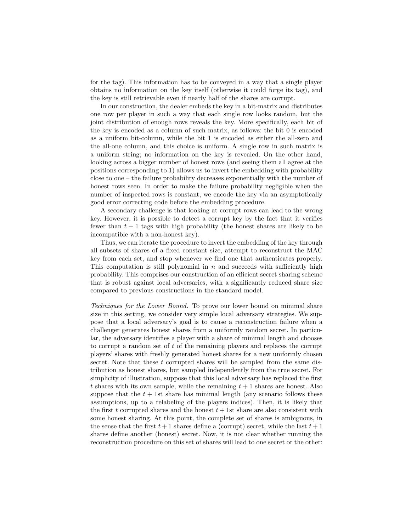for the tag). This information has to be conveyed in a way that a single player obtains no information on the key itself (otherwise it could forge its tag), and the key is still retrievable even if nearly half of the shares are corrupt.

In our construction, the dealer embeds the key in a bit-matrix and distributes one row per player in such a way that each single row looks random, but the joint distribution of enough rows reveals the key. More specifically, each bit of the key is encoded as a column of such matrix, as follows: the bit 0 is encoded as a uniform bit-column, while the bit 1 is encoded as either the all-zero and the all-one column, and this choice is uniform. A single row in such matrix is a uniform string; no information on the key is revealed. On the other hand, looking across a bigger number of honest rows (and seeing them all agree at the positions corresponding to 1) allows us to invert the embedding with probability close to one – the failure probability decreases exponentially with the number of honest rows seen. In order to make the failure probability negligible when the number of inspected rows is constant, we encode the key via an asymptotically good error correcting code before the embedding procedure.

A secondary challenge is that looking at corrupt rows can lead to the wrong key. However, it is possible to detect a corrupt key by the fact that it verifies fewer than  $t + 1$  tags with high probability (the honest shares are likely to be incompatible with a non-honest key).

Thus, we can iterate the procedure to invert the embedding of the key through all subsets of shares of a fixed constant size, attempt to reconstruct the MAC key from each set, and stop whenever we find one that authenticates properly. This computation is still polynomial in  $n$  and succeeds with sufficiently high probability. This comprises our construction of an efficient secret sharing scheme that is robust against local adversaries, with a significantly reduced share size compared to previous constructions in the standard model.

Techniques for the Lower Bound. To prove our lower bound on minimal share size in this setting, we consider very simple local adversary strategies. We suppose that a local adversary's goal is to cause a reconstruction failure when a challenger generates honest shares from a uniformly random secret. In particular, the adversary identifies a player with a share of minimal length and chooses to corrupt a random set of t of the remaining players and replaces the corrupt players' shares with freshly generated honest shares for a new uniformly chosen secret. Note that these t corrupted shares will be sampled from the same distribution as honest shares, but sampled independently from the true secret. For simplicity of illustration, suppose that this local adversary has replaced the first t shares with its own sample, while the remaining  $t + 1$  shares are honest. Also suppose that the  $t + 1$ st share has minimal length (any scenario follows these assumptions, up to a relabeling of the players indices). Then, it is likely that the first t corrupted shares and the honest  $t + 1$ st share are also consistent with some honest sharing. At this point, the complete set of shares is ambiguous, in the sense that the first  $t+1$  shares define a (corrupt) secret, while the last  $t+1$ shares define another (honest) secret. Now, it is not clear whether running the reconstruction procedure on this set of shares will lead to one secret or the other: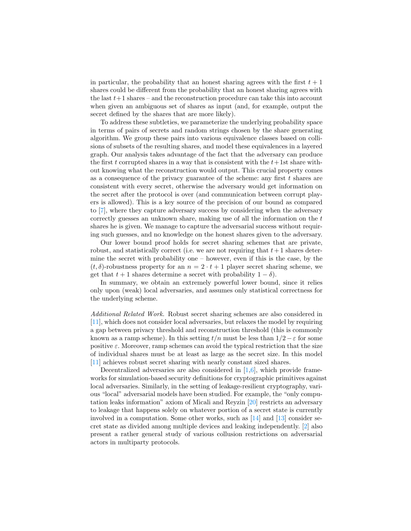in particular, the probability that an honest sharing agrees with the first  $t + 1$ shares could be different from the probability that an honest sharing agrees with the last  $t+1$  shares – and the reconstruction procedure can take this into account when given an ambiguous set of shares as input (and, for example, output the secret defined by the shares that are more likely).

To address these subtleties, we parameterize the underlying probability space in terms of pairs of secrets and random strings chosen by the share generating algorithm. We group these pairs into various equivalence classes based on collisions of subsets of the resulting shares, and model these equivalences in a layered graph. Our analysis takes advantage of the fact that the adversary can produce the first t corrupted shares in a way that is consistent with the  $t+1$ st share without knowing what the reconstruction would output. This crucial property comes as a consequence of the privacy guarantee of the scheme: any first  $t$  shares are consistent with every secret, otherwise the adversary would get information on the secret after the protocol is over (and communication between corrupt players is allowed). This is a key source of the precision of our bound as compared to [\[7\]](#page-22-1), where they capture adversary success by considering when the adversary correctly guesses an unknown share, making use of all the information on the t shares he is given. We manage to capture the adversarial success without requiring such guesses, and no knowledge on the honest shares given to the adversary.

Our lower bound proof holds for secret sharing schemes that are private, robust, and statistically correct (i.e. we are not requiring that  $t+1$  shares determine the secret with probability one – however, even if this is the case, by the  $(t, \delta)$ -robustness property for an  $n = 2 \cdot t + 1$  player secret sharing scheme, we get that  $t + 1$  shares determine a secret with probability  $1 - \delta$ ).

In summary, we obtain an extremely powerful lower bound, since it relies only upon (weak) local adversaries, and assumes only statistical correctness for the underlying scheme.

Additional Related Work. Robust secret sharing schemes are also considered in [\[11\]](#page-22-7), which does not consider local adversaries, but relaxes the model by requiring a gap between privacy threshold and reconstruction threshold (this is commonly known as a ramp scheme). In this setting  $t/n$  must be less than  $1/2-\varepsilon$  for some positive  $\varepsilon$ . Moreover, ramp schemes can avoid the typical restriction that the size of individual shares must be at least as large as the secret size. In this model [\[11\]](#page-22-7) achieves robust secret sharing with nearly constant sized shares.

Decentralized adversaries are also considered in [\[1,](#page-22-8)[6\]](#page-22-9), which provide frameworks for simulation-based security definitions for cryptographic primitives against local adversaries. Similarly, in the setting of leakage-resilient cryptography, various "local" adversarial models have been studied. For example, the "only computation leaks information" axiom of Micali and Reyzin [\[20\]](#page-23-4) restricts an adversary to leakage that happens solely on whatever portion of a secret state is currently involved in a computation. Some other works, such as [\[14\]](#page-23-5) and [\[13\]](#page-22-10) consider secret state as divided among multiple devices and leaking independently. [\[2\]](#page-22-11) also present a rather general study of various collusion restrictions on adversarial actors in multiparty protocols.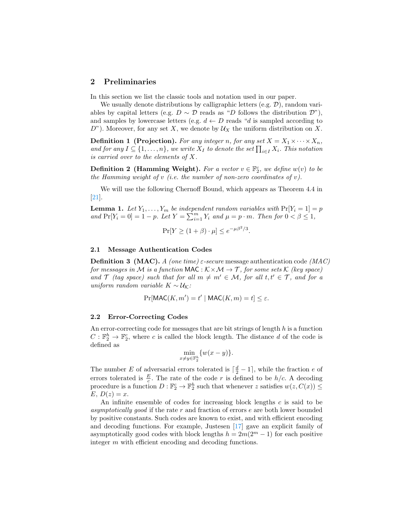# 2 Preliminaries

In this section we list the classic tools and notation used in our paper.

We usually denote distributions by calligraphic letters (e.g.  $\mathcal{D}$ ), random variables by capital letters (e.g.  $D \sim \mathcal{D}$  reads as "D follows the distribution  $\mathcal{D}$ "), and samples by lowercase letters (e.g.  $d \leftarrow D$  reads "d is sampled according to  $D$ "). Moreover, for any set X, we denote by  $\mathcal{U}_X$  the uniform distribution on X.

**Definition 1 (Projection).** For any integer n, for any set  $X = X_1 \times \cdots \times X_n$ , and for any  $I \subseteq \{1, \ldots, n\}$ , we write  $X_I$  to denote the set  $\prod_{i \in I} X_i$ . This notation is carried over to the elements of X.

**Definition 2** (Hamming Weight). For a vector  $v \in \mathbb{F}_2^c$ , we define  $w(v)$  to be the Hamming weight of  $v$  (i.e. the number of non-zero coordinates of  $v$ ).

<span id="page-6-0"></span>We will use the following Chernoff Bound, which appears as Theorem 4.4 in [\[21\]](#page-23-6).

**Lemma 1.** Let  $Y_1, \ldots, Y_m$  be independent random variables with  $Pr[Y_i = 1] = p$ and  $Pr[Y_i = 0] = 1 - p$ . Let  $Y = \sum_{i=1}^{m} Y_i$  and  $\mu = p \cdot m$ . Then for  $0 < \beta \leq 1$ ,

$$
\Pr[Y \ge (1+\beta) \cdot \mu] \le e^{-\mu \beta^2/3}.
$$

### 2.1 Message Authentication Codes

**Definition 3 (MAC).** A (one time)  $\varepsilon$ -secure message authentication code (MAC) for messages in M is a function MAC :  $\mathcal{K} \times \mathcal{M} \rightarrow \mathcal{T}$ , for some sets K (key space) and  $\mathcal T$  (tag space) such that for all  $m \neq m' \in \mathcal M$ , for all  $t, t' \in \mathcal T$ , and for a uniform random variable  $K \sim \mathcal{U}_{\mathcal{K}}$ :

$$
\Pr[\mathsf{MAC}(K, m') = t' \mid \mathsf{MAC}(K, m) = t] \le \varepsilon.
$$

### 2.2 Error-Correcting Codes

An error-correcting code for messages that are bit strings of length  $h$  is a function  $C: \mathbb{F}_2^h \to \mathbb{F}_2^c$ , where c is called the block length. The distance d of the code is defined as

$$
\min_{x \neq y \in \mathbb{F}_2^h} \{w(x - y)\}.
$$

The number E of adversarial errors tolerated is  $\lceil \frac{d}{2} - 1 \rceil$ , while the fraction e of errors tolerated is  $\frac{E}{c}$ . The rate of the code r is defined to be  $h/c$ . A decoding procedure is a function  $D: \mathbb{F}_2^c \to \mathbb{F}_2^h$  such that whenever z satisfies  $w(z, C(x)) \leq$  $E, D(z) = x.$ 

An infinite ensemble of codes for increasing block lengths  $c$  is said to be asymptotically good if the rate r and fraction of errors  $e$  are both lower bounded by positive constants. Such codes are known to exist, and with efficient encoding and decoding functions. For example, Justesen [\[17\]](#page-23-7) gave an explicit family of asymptotically good codes with block lengths  $h = 2m(2^m - 1)$  for each positive integer m with efficient encoding and decoding functions.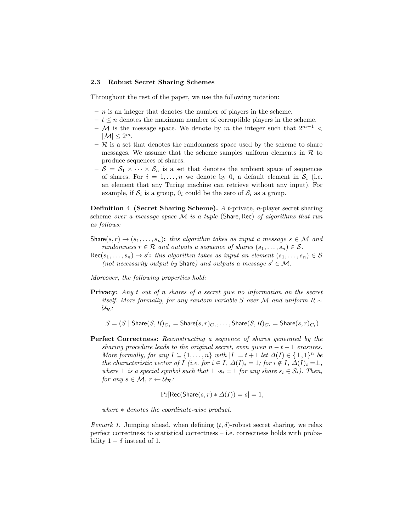## 2.3 Robust Secret Sharing Schemes

Throughout the rest of the paper, we use the following notation:

- $n$  is an integer that denotes the number of players in the scheme.
- $-t \leq n$  denotes the maximum number of corruptible players in the scheme.
- M is the message space. We denote by m the integer such that  $2^{m-1}$  <  $|\mathcal{M}| \leq 2^m$ .
- $-$  R is a set that denotes the randomness space used by the scheme to share messages. We assume that the scheme samples uniform elements in  $R$  to produce sequences of shares.
- $-\mathcal{S} = \mathcal{S}_1 \times \cdots \times \mathcal{S}_n$  is a set that denotes the ambient space of sequences of shares. For  $i = 1, ..., n$  we denote by  $0_i$  a default element in  $S_i$  (i.e. an element that any Turing machine can retrieve without any input). For example, if  $S_i$  is a group,  $0_i$  could be the zero of  $S_i$  as a group.

**Definition 4 (Secret Sharing Scheme).** A t-private, *n*-player secret sharing scheme over a message space  $M$  is a tuple (Share, Rec) of algorithms that run as follows:

- Share $(s, r) \rightarrow (s_1, \ldots, s_n)$ : this algorithm takes as input a message  $s \in \mathcal{M}$  and randomness  $r \in \mathcal{R}$  and outputs a sequence of shares  $(s_1, \ldots, s_n) \in \mathcal{S}$ .
- $\text{Rec}(s_1,\ldots,s_n) \to s'$ : this algorithm takes as input an element  $(s_1,\ldots,s_n) \in \mathcal{S}$ (not necessarily output by Share) and outputs a message  $s' \in \mathcal{M}$ .

Moreover, the following properties hold:

**Privacy:** Any t out of n shares of a secret give no information on the secret itself. More formally, for any random variable S over M and uniform R  $\sim$  $U_{\mathcal{R}}$ :

$$
S = (S \mid \mathsf{Share}(S, R)_{C_1} = \mathsf{Share}(s, r)_{C_1}, \dots, \mathsf{Share}(S, R)_{C_t} = \mathsf{Share}(s, r)_{C_t})
$$

Perfect Correctness: Reconstructing a sequence of shares generated by the sharing procedure leads to the original secret, even given  $n - t - 1$  erasures. More formally, for any  $I \subseteq \{1, ..., n\}$  with  $|I| = t + 1$  let  $\Delta(I) \in \{\perp, 1\}^n$  be the characteristic vector of I (i.e. for  $i \in I$ ,  $\Delta(I)_i = 1$ ; for  $i \notin I$ ,  $\Delta(I)_i = \perp$ , where  $\perp$  is a special symbol such that  $\perp$  ·s<sub>i</sub> =  $\perp$  for any share  $s_i \in S_i$ ). Then, for any  $s \in \mathcal{M}$ ,  $r \leftarrow \mathcal{U}_{\mathcal{R}}$ :

$$
Pr[Rec(Share(s, r) * \Delta(I)) = s] = 1,
$$

where ∗ denotes the coordinate-wise product.

Remark 1. Jumping ahead, when defining  $(t, \delta)$ -robust secret sharing, we relax perfect correctness to statistical correctness – i.e. correctness holds with probability  $1 - \delta$  instead of 1.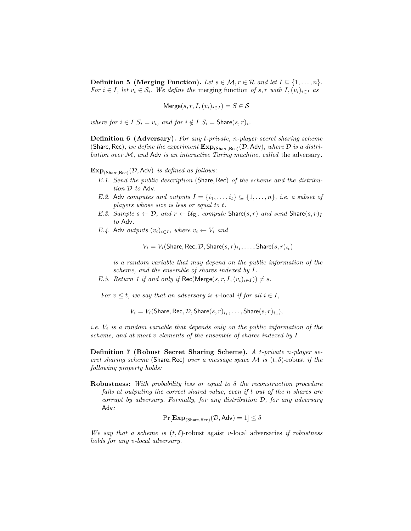**Definition 5** (Merging Function). Let  $s \in \mathcal{M}$ ,  $r \in \mathcal{R}$  and let  $I \subseteq \{1, \ldots, n\}$ . For  $i \in I$ , let  $v_i \in S_i$ . We define the merging function of s, r with  $I,(v_i)_{i\in I}$  as

$$
Merge(s,r,I,(v_i)_{i\in I})=S\in\mathcal{S}
$$

where for  $i \in I$   $S_i = v_i$ , and for  $i \notin I$   $S_i =$  Share $(s, r)_i$ .

Definition 6 (Adversary). For any t-private, n-player secret sharing scheme (Share, Rec), we define the experiment  $\text{Exp}_{(\text{Share}, \text{Rec})}(\mathcal{D}, \text{Adv})$ , where  $\mathcal D$  is a distribution over  $M$ , and Adv is an interactive Turing machine, called the adversary.

 $\mathbf{Exp}_{(\mathsf{Share},\mathsf{Rec})}(\mathcal{D},\mathsf{Adv})$  is defined as follows:

- <span id="page-8-0"></span>E.1. Send the public description (Share, Rec) of the scheme and the distribution D to Adv.
- <span id="page-8-1"></span>E.2. Adv computes and outputs  $I = \{i_1, \ldots, i_t\} \subseteq \{1, \ldots, n\}$ , i.e. a subset of players whose size is less or equal to t.
- <span id="page-8-3"></span>E.3. Sample  $s \leftarrow \mathcal{D}$ , and  $r \leftarrow \mathcal{U}_{\mathcal{R}}$ , compute Share $(s, r)$  and send Share $(s, r)$ to Adv.
- <span id="page-8-2"></span>E.4. Adv outputs  $(v_i)_{i \in I}$ , where  $v_i \leftarrow V_i$  and

$$
V_i = V_i(\text{Share}, \text{Rec}, \mathcal{D}, \text{Share}(s, r)_{i_1}, \dots, \text{Share}(s, r)_{i_t})
$$

is a random variable that may depend on the public information of the scheme, and the ensemble of shares indexed by I.

E.5. Return 1 if and only if  $Rec(Merge(s, r, I, (v_i)_{i \in I})) \neq s$ .

For  $v \leq t$ , we say that an adversary is v-local if for all  $i \in I$ ,

$$
V_i = V_i(\text{Share}, \text{Rec}, \mathcal{D}, \text{Share}(s, r)_{i_1}, \dots, \text{Share}(s, r)_{i_v}),
$$

*i.e.*  $V_i$  is a random variable that depends only on the public information of the scheme, and at most v elements of the ensemble of shares indexed by I.

Definition 7 (Robust Secret Sharing Scheme). A t-private n-player secret sharing scheme (Share, Rec) over a message space  $\mathcal M$  is  $(t, \delta)$ -robust if the following property holds:

**Robustness:** With probability less or equal to  $\delta$  the reconstruction procedure fails at outputing the correct shared value, even if t out of the n shares are corrupt by adversary. Formally, for any distribution D, for any adversary Adv:

$$
\Pr[\mathbf{Exp}_{(\mathsf{Share}, \mathsf{Rec})}(\mathcal{D}, \mathsf{Adv}) = 1] \le \delta
$$

We say that a scheme is  $(t, \delta)$ -robust agaist v-local adversaries if robustness holds for any v-local adversary.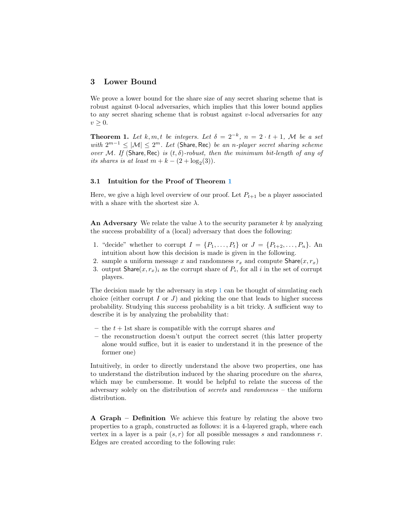# 3 Lower Bound

We prove a lower bound for the share size of any secret sharing scheme that is robust against 0-local adversaries, which implies that this lower bound applies to any secret sharing scheme that is robust against  $v$ -local adversaries for any  $v > 0$ .

<span id="page-9-0"></span>**Theorem 1.** Let k, m, t be integers. Let  $\delta = 2^{-k}$ ,  $n = 2 \cdot t + 1$ , M be a set with  $2^{m-1} \leq |\mathcal{M}| \leq 2^m$ . Let (Share, Rec) be an n-player secret sharing scheme over M. If (Share, Rec) is  $(t, \delta)$ -robust, then the minimum bit-length of any of its shares is at least  $m + k - (2 + \log_2(3)).$ 

# 3.1 Intuition for the Proof of Theorem [1](#page-9-0)

Here, we give a high level overview of our proof. Let  $P_{t+1}$  be a player associated with a share with the shortest size  $\lambda$ .

<span id="page-9-3"></span>**An Adversary** We relate the value  $\lambda$  to the security parameter k by analyzing the success probability of a (local) adversary that does the following:

- <span id="page-9-1"></span>1. "decide" whether to corrupt  $I = \{P_1, \ldots, P_t\}$  or  $J = \{P_{t+2}, \ldots, P_n\}$ . An intuition about how this decision is made is given in the following.
- 2. sample a uniform message x and randomness  $r_x$  and compute Share $(x, r_x)$ 3. output  $\textsf{Share}(x, r_x)_i$  as the corrupt share of  $P_i$ , for all i in the set of corrupt players.

The decision made by the adversary in step [1](#page-9-1) can be thought of simulating each choice (either corrupt  $I$  or  $J$ ) and picking the one that leads to higher success probability. Studying this success probability is a bit tricky. A sufficient way to describe it is by analyzing the probability that:

- the  $t + 1$ st share is compatible with the corrupt shares and
- the reconstruction doesn't output the correct secret (this latter property alone would suffice, but it is easier to understand it in the presence of the former one)

Intuitively, in order to directly understand the above two properties, one has to understand the distribution induced by the sharing procedure on the shares, which may be cumbersome. It would be helpful to relate the success of the adversary solely on the distribution of secrets and randomness – the uniform distribution.

<span id="page-9-2"></span>A Graph – Definition We achieve this feature by relating the above two properties to a graph, constructed as follows: it is a 4-layered graph, where each vertex in a layer is a pair  $(s, r)$  for all possible messages s and randomness r. Edges are created according to the following rule: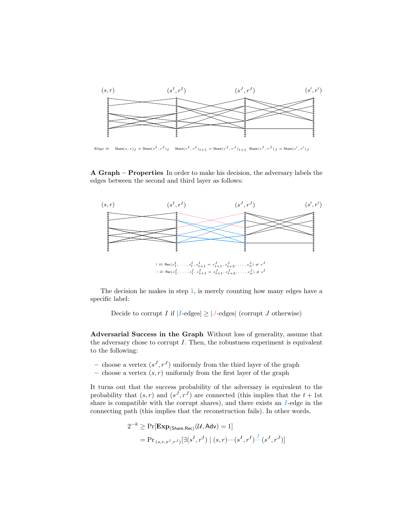

 $\text{Edge if:} \quad \text{Share}(s,r)_I = \text{Share}(s^I,r^I)_I \quad \text{Share}(s^I,r^I)_{t+1} = \text{Share}(s^J,r^J)_{t+1} \quad \text{Share}(s^J,r^J)_J = \text{Share}(s',r')_J$ 

<span id="page-10-0"></span>A Graph – Properties In order to make his decision, the adversary labels the edges between the second and third layer as follows:



The decision he makes in step [1,](#page-9-1) is merely counting how many edges have a specific label:

Decide to corrupt I if  $|I$ -edges $|\geq |J$ -edges $|$  (corrupt J otherwise)

<span id="page-10-1"></span>Adversarial Success in the Graph Without loss of generality, assume that the adversary chose to corrupt  $I$ . Then, the robustness experiment is equivalent to the following:

- choose a vertex  $(s^J, r^J)$  uniformly from the third layer of the graph
- choose a vertex  $(s, r)$  uniformly from the first layer of the graph

It turns out that the success probability of the adversary is equivalent to the probability that  $(s, r)$  and  $(s^J, r^J)$  are connected (this implies that the  $t + 1$ st share is compatible with the corrupt shares), and there exists an  $I$ -edge in the connecting path (this implies that the reconstruction fails). In other words,

$$
2^{-k} \ge \Pr[\mathbf{Exp}_{(\text{Share}, \text{Rec})}(\mathcal{U}, \text{Adv}) = 1]
$$
  
=  $\Pr_{(s,r,s^J,r^J)}[\exists (s^I, r^I) \mid (s,r) \text{---}(s^I, r^I) \text{---}(s^J, r^J)]$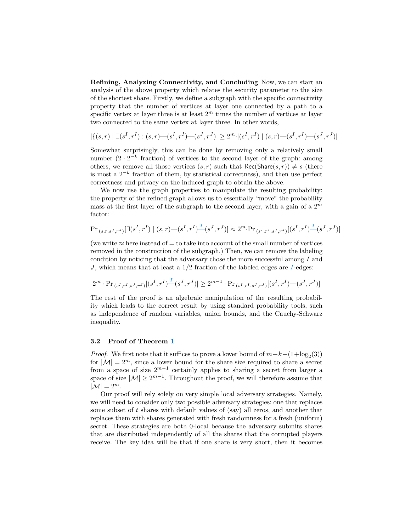<span id="page-11-0"></span>Refining, Analyzing Connectivity, and Concluding Now, we can start an analysis of the above property which relates the security parameter to the size of the shortest share. Firstly, we define a subgraph with the specific connectivity property that the number of vertices at layer one connected by a path to a specific vertex at layer three is at least  $2<sup>m</sup>$  times the number of vertices at layer two connected to the same vertex at layer three. In other words,

$$
|\{(s,r) \mid \exists (s^I, r^I) : (s,r) - (s^I, r^I) - (s^J, r^J)| \ge 2^m \cdot |(s^I, r^I) \mid (s,r) - (s^I, r^I) - (s^J, r^J)|
$$

Somewhat surprisingly, this can be done by removing only a relatively small number  $(2 \cdot 2^{-k}$  fraction) of vertices to the second layer of the graph: among others, we remove all those vertices  $(s, r)$  such that  $\text{Rec}(\text{Share}(s, r)) \neq s$  (there is most a  $2^{-k}$  fraction of them, by statistical correctness), and then use perfect correctness and privacy on the induced graph to obtain the above.

We now use the graph properties to manipulate the resulting probability: the property of the refined graph allows us to essentially "move" the probability mass at the first layer of the subgraph to the second layer, with a gain of a  $2^m$ factor:

$$
{\Pr}_{(s,r,s^J,r^J)}[\exists (s^I,r^I) \mid (s,r) - (s^I,r^I)^{\perp} (s^J,r^J)] \approx 2^m \cdot {\Pr}_{(s^I,r^I,s^J,r^J)}[(s^I,r^I)^{\perp} (s^J,r^J)]
$$

(we write  $\approx$  here instead of = to take into account of the small number of vertices removed in the construction of the subgraph.) Then, we can remove the labeling condition by noticing that the adversary chose the more successful among I and J, which means that at least a  $1/2$  fraction of the labeled edges are I-edges:

$$
2^m \cdot \Pr{}_{(s^I,r^I,s^J,r^J)}[(s^I,r^I)^{\top}_{-}(s^J,r^J)] \geq 2^{m-1} \cdot \Pr{}_{(s^I,r^I,s^J,r^J)}[(s^I,r^I) - (s^J,r^J)]
$$

The rest of the proof is an algebraic manipulation of the resulting probability which leads to the correct result by using standard probability tools, such as independence of random variables, union bounds, and the Cauchy-Schwarz inequality.

# 3.2 Proof of Theorem [1](#page-9-0)

*Proof.* We first note that it suffices to prove a lower bound of  $m+k-(1+\log_2(3))$ for  $|M| = 2^m$ , since a lower bound for the share size required to share a secret from a space of size  $2^{m-1}$  certainly applies to sharing a secret from larger a space of size  $|\mathcal{M}| \geq 2^{m-1}$ . Throughout the proof, we will therefore assume that  $|\mathcal{M}| = 2^m$ .

Our proof will rely solely on very simple local adversary strategies. Namely, we will need to consider only two possible adversary strategies: one that replaces some subset of t shares with default values of (say) all zeros, and another that replaces them with shares generated with fresh randomness for a fresh (uniform) secret. These strategies are both 0-local because the adversary submits shares that are distributed independently of all the shares that the corrupted players receive. The key idea will be that if one share is very short, then it becomes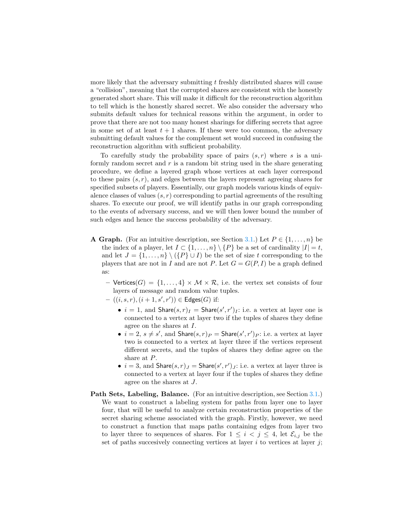more likely that the adversary submitting t freshly distributed shares will cause a "collision", meaning that the corrupted shares are consistent with the honestly generated short share. This will make it difficult for the reconstruction algorithm to tell which is the honestly shared secret. We also consider the adversary who submits default values for technical reasons within the argument, in order to prove that there are not too many honest sharings for differing secrets that agree in some set of at least  $t + 1$  shares. If these were too common, the adversary submitting default values for the complement set would succeed in confusing the reconstruction algorithm with sufficient probability.

To carefully study the probability space of pairs  $(s, r)$  where s is a uniformly random secret and  $r$  is a random bit string used in the share generating procedure, we define a layered graph whose vertices at each layer correspond to these pairs  $(s, r)$ , and edges between the layers represent agreeing shares for specified subsets of players. Essentially, our graph models various kinds of equivalence classes of values  $(s, r)$  corresponding to partial agreements of the resulting shares. To execute our proof, we will identify paths in our graph corresponding to the events of adversary success, and we will then lower bound the number of such edges and hence the success probability of the adversary.

- A Graph. (For an intuitive description, see Section [3.1.](#page-9-2)) Let  $P \in \{1, \ldots, n\}$  be the index of a player, let  $I \subset \{1, \ldots, n\} \setminus \{P\}$  be a set of cardinality  $|I| = t$ , and let  $J = \{1, \ldots, n\} \setminus (\{P\} \cup I)$  be the set of size t corresponding to the players that are not in I and are not P. Let  $G = G(P, I)$  be a graph defined as:
	- Vertices $(G) = \{1, \ldots, 4\} \times M \times R$ , i.e. the vertex set consists of four layers of message and random value tuples.
	- $((i, s, r), (i + 1, s', r')) \in \mathsf{Edges}(G)$  if:
		- $i = 1$ , and Share $(s, r)_I$  = Share $(s', r')_I$ : i.e. a vertex at layer one is connected to a vertex at layer two if the tuples of shares they define agree on the shares at I.
		- $i = 2, s \neq s'$ , and  $\textsf{Share}(s, r) = \textsf{Share}(s', r') =$ : i.e. a vertex at layer two is connected to a vertex at layer three if the vertices represent different secrets, and the tuples of shares they define agree on the share at P.
		- $i = 3$ , and  $\textsf{Share}(s, r) = \textsf{Share}(s', r')$ ; i.e. a vertex at layer three is connected to a vertex at layer four if the tuples of shares they define agree on the shares at J.
- Path Sets, Labeling, Balance. (For an intuitive description, see Section [3.1.](#page-10-0)) We want to construct a labeling system for paths from layer one to layer four, that will be useful to analyze certain reconstruction properties of the secret sharing scheme associated with the graph. Firstly, however, we need to construct a function that maps paths containing edges from layer two to layer three to sequences of shares. For  $1 \leq i \leq j \leq 4$ , let  $\mathcal{E}_{i,j}$  be the set of paths succesively connecting vertices at layer  $i$  to vertices at layer  $j$ ;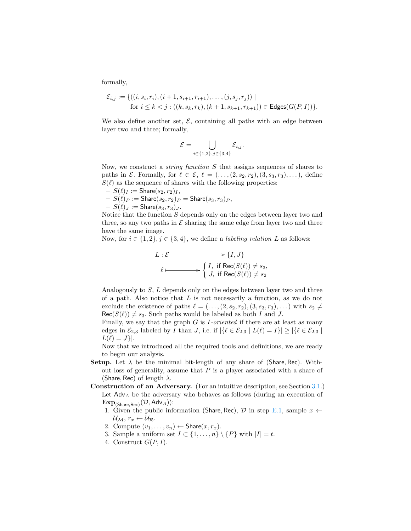formally,

$$
\mathcal{E}_{i,j} := \{ ((i, s_i, r_i), (i+1, s_{i+1}, r_{i+1}), \dots, (j, s_j, r_j)) \mid
$$
  
for  $i \leq k < j : ((k, s_k, r_k), (k+1, s_{k+1}, r_{k+1})) \in \text{Edges}(G(P, I)) \}.$ 

We also define another set,  $\mathcal{E}$ , containing all paths with an edge between layer two and three; formally,

$$
\mathcal{E} = \bigcup_{i \in \{1,2\}, j \in \{3,4\}} \mathcal{E}_{i,j}.
$$

Now, we construct a string function S that assigns sequences of shares to paths in  $\mathcal{E}$ . Formally, for  $\ell \in \mathcal{E}$ ,  $\ell = (\ldots, (2, s_2, r_2), (3, s_3, r_3), \ldots)$ , define  $S(\ell)$  as the sequence of shares with the following properties:

 $-S(\ell)_I :=$  Share $(s_2, r_2)_I$ ,

 $-S(\ell)_P :=$  Share $(s_2, r_2)_P =$  Share $(s_3, r_3)_P$  ,

 $-S(\ell)_J :=$  Share $(s_3, r_3)_J$ .

Notice that the function S depends only on the edges between layer two and three, so any two paths in  $\mathcal E$  sharing the same edge from layer two and three have the same image.

Now, for  $i \in \{1,2\}, j \in \{3,4\}$ , we define a *labeling relation* L as follows:

$$
L: \mathcal{E} \longrightarrow \{I, J\}
$$
  

$$
\ell \longmapsto \begin{cases} I, & \text{if } \text{Rec}(S(\ell)) \neq s_3, \\ J, & \text{if } \text{Rec}(S(\ell)) \neq s_2 \end{cases}
$$

Analogously to S, L depends only on the edges between layer two and three of a path. Also notice that  $L$  is not necessarily a function, as we do not exclude the existence of paths  $\ell = (\ldots, (2, s_2, r_2), (3, s_3, r_3), \ldots)$  with  $s_2 \neq$  $Rec(S(\ell)) \neq s_3$ . Such paths would be labeled as both I and J.

Finally, we say that the graph  $G$  is *I-oriented* if there are at least as many edges in  $\mathcal{E}_{2,3}$  labeled by I than J, i.e. if  $|\{ \ell \in \mathcal{E}_{2,3} \mid L(\ell) = I \}| \geq |\{ \ell \in \mathcal{E}_{2,3} \mid L(\ell) = I \}|$  $L(\ell) = J$ .

Now that we introduced all the required tools and definitions, we are ready to begin our analysis.

- **Setup.** Let  $\lambda$  be the minimal bit-length of any share of (Share, Rec). Without loss of generality, assume that  $P$  is a player associated with a share of (Share, Rec) of length  $\lambda$ .
- Construction of an Adversary. (For an intuitive description, see Section [3.1.](#page-9-3)) Let  $\mathsf{Adv}_A$  be the adversary who behaves as follows (during an execution of

 $\mathbf{Exp}_{(\mathsf{Share},\mathsf{Rec})}(\mathcal{D},\mathsf{Adv}_A))$ :

- 1. Given the public information (Share, Rec),  $\mathcal D$  in step [E.1,](#page-8-0) sample  $x \leftarrow$  $\mathcal{U}_{\mathcal{M}}, r_x \leftarrow \mathcal{U}_{\mathcal{R}}.$
- 2. Compute  $(v_1, \ldots, v_n) \leftarrow$  Share $(x, r_x)$ .
- 3. Sample a uniform set  $I \subset \{1, \ldots, n\} \setminus \{P\}$  with  $|I| = t$ .
- 4. Construct  $G(P, I)$ .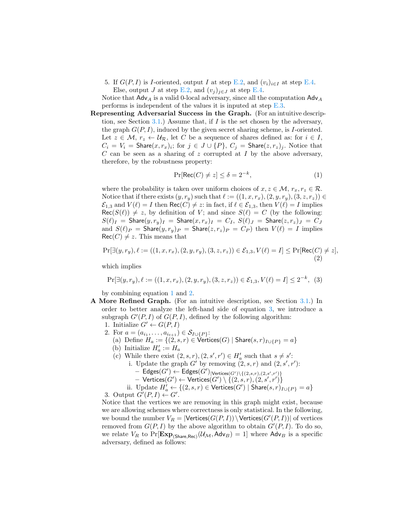5. If  $G(P, I)$  is I-oriented, output I at step [E.2,](#page-8-1) and  $(v_i)_{i \in I}$  at step [E.4.](#page-8-2) Else, output J at step [E.2,](#page-8-1) and  $(v_j)_{j\in J}$  at step [E.4.](#page-8-2)

Notice that  $\mathsf{Adv}_A$  is a valid 0-local adversary, since all the computation  $\mathsf{Adv}_A$ performs is independent of the values it is inputed at step [E.3.](#page-8-3)

Representing Adversarial Success in the Graph. (For an intuitive descrip-tion, see Section [3.1.](#page-10-1)) Assume that, if  $I$  is the set chosen by the adversary, the graph  $G(P, I)$ , induced by the given secret sharing scheme, is I-oriented. Let  $z \in \mathcal{M}$ ,  $r_z \leftarrow \mathcal{U}_{\mathcal{R}}$ , let C be a sequence of shares defined as: for  $i \in I$ ,  $C_i = V_i = \textsf{Share}(x, r_x)_i; \text{ for } j \in J \cup \{P\}, C_j = \textsf{Share}(z, r_z)_j.$  Notice that  $C$  can be seen as a sharing of  $z$  corrupted at  $I$  by the above adversary, therefore, by the robustness property:

<span id="page-14-0"></span>
$$
\Pr[\text{Rec}(C) \neq z] \leq \delta = 2^{-k},\tag{1}
$$

where the probability is taken over uniform choices of  $x, z \in \mathcal{M}$ ,  $r_x, r_z \in \mathcal{R}$ . Notice that if there exists  $(y, r_y)$  such that  $\ell := ((1, x, r_x), (2, y, r_y), (3, z, r_z)) \in$  $\mathcal{E}_{1,3}$  and  $V(\ell) = I$  then Rec(C)  $\neq z$ : in fact, if  $\ell \in \mathcal{E}_{1,3}$ , then  $V(\ell) = I$  implies  $\text{Rec}(S(\ell)) \neq z$ , by definition of V; and since  $S(\ell) = C$  (by the following:  $S(\ell)_I =$  Share $(y, r_y)_I$  = Share $(x, r_x)_I = C_I$ ,  $S(\ell)_J =$  Share $(z, r_z)_J = C_J$ and  $S(\ell)_P =$  Share $(y, r_y)_P =$  Share $(z, r_z)_P = C_P$  then  $V(\ell) = I$  implies  $\text{Rec}(C) \neq z$ . This means that

<span id="page-14-1"></span>
$$
\Pr[\exists(y, r_y), \ell := ((1, x, r_x), (2, y, r_y), (3, z, r_z)) \in \mathcal{E}_{1,3}, V(\ell) = I] \le \Pr[\text{Rec}(C) \ne z],
$$
\n(2)

which implies

<span id="page-14-2"></span>
$$
\Pr[\exists(y, r_y), \ell := ((1, x, r_x), (2, y, r_y), (3, z, r_z)) \in \mathcal{E}_{1,3}, V(\ell) = I] \le 2^{-k}, \tag{3}
$$

by combining equation [1](#page-14-0) and [2.](#page-14-1)

- A More Refined Graph. (For an intuitive description, see Section [3.1.](#page-11-0)) In order to better analyze the left-hand side of equation [3,](#page-14-2) we introduce a subgraph  $G'(P, I)$  of  $G(P, I)$ , defined by the following algorithm:
	- 1. Initialize  $G' \leftarrow G(P, I)$
	- 2. For  $a = (a_{i_1}, \ldots, a_{i_{t+1}}) \in S_{I \cup \{P\}}$ :
		- (a) Define  $H_a := \{(2, s, r) \in \text{Vertices}(G) \mid \text{Share}(s, r)_{I \cup \{P\}} = a\}$
		- (b) Initialize  $H'_a := H_a$
		- (c) While there exist  $(2, s, r), (2, s', r') \in H'_a$  such that  $s \neq s'$ :
			- i. Update the graph  $G'$  by removing  $(2, s, r)$  and  $(2, s', r')$ :
				- $-$  Edges $(G') \leftarrow \mathsf{Edges}(G')_{|\mathsf{Vertices}(G') \setminus \{(2,s,r),(2,s',r')\}} \ \ \mathsf{Vertices}(G') \leftarrow \mathsf{Vertices}(G') \setminus \{(2,s,r),(2,s',r')\}$
				-
	- ii. Update  $H'_a \leftarrow \{(2, s, r) \in \text{Vertices}(G') \mid \text{Share}(s, r)_{I \cup \{P\}} = a\}$ 3. Output  $G'(P,I) \leftarrow G'$ .

<span id="page-14-3"></span>Notice that the vertices we are removing in this graph might exist, because we are allowing schemes where correctness is only statistical. In the following, we bound the number  $V_R = |\text{Vertices}(G(P, I)) \setminus \text{Vertices}(G'(P, I))|$  of vertices removed from  $G(P, I)$  by the above algorithm to obtain  $G'(P, I)$ . To do so, we relate  $V_R$  to  $Pr[\text{Exp}_{(Share, Rec)}(\mathcal{U}_M, Adv_B) = 1]$  where  $Adv_B$  is a specific adversary, defined as follows: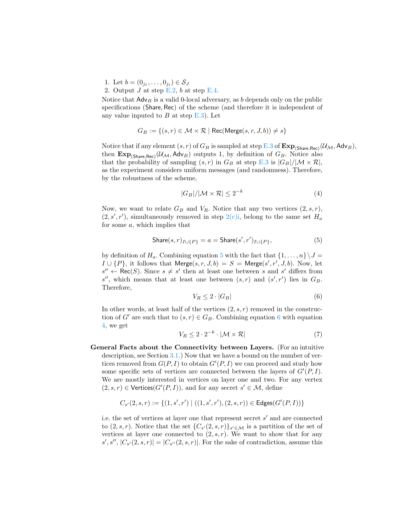- 1. Let  $b = (0_{j_1}, \ldots, 0_{j_t}) \in S_J$
- 2. Output  $J$  at step [E.2,](#page-8-1)  $b$  at step [E.4.](#page-8-2)

Notice that  $\mathsf{Adv}_B$  is a valid 0-local adversary, as b depends only on the public specifications (Share, Rec) of the scheme (and therefore it is independent of any value inputed to  $B$  at step  $E.3$ ). Let

$$
G_B := \{(s, r) \in \mathcal{M} \times \mathcal{R} \mid \mathsf{Rec}(\mathsf{Merge}(s,r,J,b)) \neq s\}
$$

Notice that if any element  $(s,r)$  of  $G_B$  is sampled at step [E.3](#page-8-3) of  $\text{Exp}_{(\text{Share},\text{Rec})}(\mathcal{U}_\mathcal{M}, \text{Adv}_B)$ , then  $\text{Exp}_{(\text{Share}, \text{Rec})}(\mathcal{U}_\mathcal{M}, \text{Adv}_B)$  outputs 1, by definition of  $G_B$ . Notice also that the probability of sampling  $(s, r)$  in  $G_B$  at step [E.3](#page-8-3) is  $|G_B|/|\mathcal{M} \times \mathcal{R}|$ , as the experiment considers uniform messages (and randomness). Therefore, by the robustness of the scheme,

<span id="page-15-2"></span>
$$
|G_B|/|\mathcal{M} \times \mathcal{R}| \le 2^{-k} \tag{4}
$$

Now, we want to relate  $G_B$  and  $V_R$ . Notice that any two vertices  $(2, s, r)$ ,  $(2, s', r')$ , simultaneously removed in step  $2(c)$ i, belong to the same set  $H_a$ for some a, which implies that

<span id="page-15-0"></span>
$$
\text{Share}(s,r)_{I \cup \{P\}} = a = \text{Share}(s',r')_{I \cup \{P\}},\tag{5}
$$

by definition of  $H_a$ . Combining equation [5](#page-15-0) with the fact that  $\{1, \ldots, n\}\setminus J =$  $I \cup \{P\}$ , it follows that  $\mathsf{Merge}(s,r,J,b) = S = \mathsf{Merge}(s',r',J,b)$ . Now, let  $s'' \leftarrow \text{Rec}(S)$ . Since  $s \neq s'$  then at least one between s and s' differs from  $s''$ , which means that at least one between  $(s,r)$  and  $(s',r')$  lies in  $G_B$ . Therefore,

<span id="page-15-1"></span>
$$
V_R \le 2 \cdot |G_B| \tag{6}
$$

In other words, at least half of the vertices  $(2, s, r)$  removed in the construction of G' are such that to  $(s, r) \in G_B$ . Combining equation [6](#page-15-1) with equation [4,](#page-15-2) we get

<span id="page-15-3"></span>
$$
V_R \le 2 \cdot 2^{-k} \cdot |\mathcal{M} \times \mathcal{R}| \tag{7}
$$

General Facts about the Connectivity between Layers. (For an intuitive description, see Section [3.1.](#page-11-0)) Now that we have a bound on the number of vertices removed from  $G(P, I)$  to obtain  $G'(P, I)$  we can proceed and study how some specific sets of vertices are connected between the layers of  $G'(P, I)$ . We are mostly interested in vertices on layer one and two. For any vertex  $(2, s, r) \in \text{Vertices}(G'(P, I)),$  and for any secret  $s' \in \mathcal{M}$ , define

$$
C_{s'}(2,s,r):=\{(1,s',r')\mid ((1,s',r'),(2,s,r))\in\mathsf{Edges}(G'(P,I))\}
$$

i.e. the set of vertices at layer one that represent secret  $s'$  and are connected to  $(2, s, r)$ . Notice that the set  $\{C_{s'}(2, s, r)\}_{s' \in \mathcal{M}}$  is a partition of the set of vertices at layer one connected to  $(2, s, r)$ . We want to show that for any  $s', s'', |C_{s'}(2, s, r)| = |C_{s''}(2, s, r)|$ . For the sake of contradiction, assume this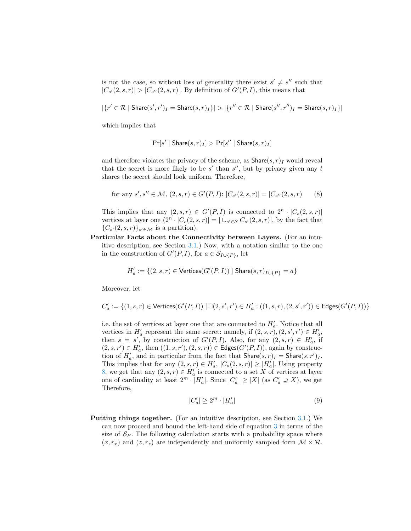is not the case, so without loss of generality there exist  $s' \neq s''$  such that  $|C_{s'}(2,s,r)|>|C_{s''}(2,s,r)|$ . By definition of  $G'(P, I)$ , this means that

$$
|\{r' \in \mathcal{R} \mid {\sfShare}(s',r')_I = {\sfShare}(s,r)_I\}| > |\{r'' \in \mathcal{R} \mid {\sfShare}(s'',r'')_I = {\sfShare}(s,r)_I\}|
$$

which implies that

$$
\Pr[s' \mid \mathsf{Share}(s,r)_I] > \Pr[s'' \mid \mathsf{Share}(s,r)_I]
$$

and therefore violates the privacy of the scheme, as  $\text{Share}(s, r)$ <sub>I</sub> would reveal that the secret is more likely to be  $s'$  than  $s''$ , but by privacy given any t shares the secret should look uniform. Therefore,

<span id="page-16-0"></span>for any 
$$
s', s'' \in \mathcal{M}, (2, s, r) \in G'(P, I): |C_{s'}(2, s, r)| = |C_{s''}(2, s, r)|
$$
 (8)

This implies that any  $(2, s, r) \in G'(P, I)$  is connected to  $2^n \cdot |C_s(2, s, r)|$ vertices at layer one  $(2^n \cdot |C_s(2, s, r)| = |\bigcup_{s' \in \mathcal{S}} C_{s'}(2, s, r)|$ , by the fact that  ${C_{s'}(2, s, r)}_{s' \in \mathcal{M}}$  is a partition).

Particular Facts about the Connectivity between Layers. (For an intuitive description, see Section [3.1.](#page-11-0)) Now, with a notation similar to the one in the construction of  $G'(P, I)$ , for  $a \in \mathcal{S}_{I \cup \{P\}}$ , let

$$
H'_a := \{(2, s, r) \in \text{Vertices}(G'(P, I)) \mid \text{Share}(s, r)_{I \cup \{P\}} = a\}
$$

Moreover, let

$$
C'_a := \{(1,s,r) \in \text{Vertices}(G'(P,I)) \mid \exists (2,s',r') \in H'_a: ((1,s,r),(2,s',r')) \in \text{Edges}(G'(P,I))\}
$$

i.e. the set of vertices at layer one that are connected to  $H'_a$ . Notice that all vertices in  $H'_a$  represent the same secret: namely, if  $(2, s, r), (2, s', r') \in H'_a$ , then  $s = s'$ , by construction of  $G'(P, I)$ . Also, for any  $(2, s, r) \in H'_a$ , if  $(2, s, r') \in H'_a$ , then  $((1, s, r'), (2, s, r)) \in \textsf{Edges}(G'(P, I)),$  again by construction of  $H'_a$ , and in particular from the fact that  $\textsf{Share}(s,r)_I = \textsf{Share}(s,r')_I$ . This implies that for any  $(2, s, r) \in H'_a$ ,  $|C_s(2, s, r)| \geq |H'_a|$ . Using property [8,](#page-16-0) we get that any  $(2, s, r) \in H_a'$  is connected to a set X of vertices at layer one of cardinality at least  $2^m \cdot |H_a'|$ . Since  $|C_a'| \ge |X|$  (as  $C_a' \supseteq X$ ), we get Therefore,

<span id="page-16-1"></span>
$$
|C'_a| \ge 2^m \cdot |H'_a| \tag{9}
$$

Putting things together. (For an intuitive description, see Section [3.1.](#page-11-0)) We can now proceed and bound the left-hand side of equation [3](#page-14-2) in terms of the size of  $S_P$ . The following calculation starts with a probability space where  $(x, r_x)$  and  $(z, r_z)$  are independently and uniformly sampled form  $\mathcal{M} \times \mathcal{R}$ .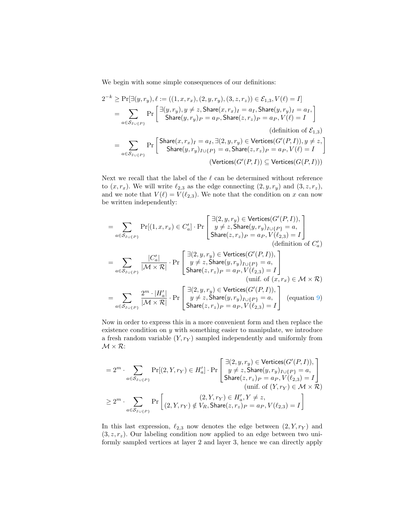We begin with some simple consequences of our definitions:

$$
2^{-k} \ge \Pr[\exists(y, r_y), \ell := ((1, x, r_x), (2, y, r_y), (3, z, r_z)) \in \mathcal{E}_{1,3}, V(\ell) = I]
$$
  
\n
$$
= \sum_{a \in \mathcal{S}_{I \cup \{P\}}} \Pr\left[\frac{\exists(y, r_y), y \ne z, \text{Share}(x, r_x)_I = a_I, \text{Share}(y, r_y)_I = a_I, \text{Base}(y, r_y)_I = a_I, \text{Share}(y, r_y)_I = a_P, \text{Share}(z, r_z)_P = a_P, V(\ell) = I \right]
$$
  
\n(definition of  $\mathcal{E}_{1,3}$ )  
\n
$$
= \sum_{a \in \mathcal{S}_{I \cup \{P\}}} \Pr\left[\frac{\text{Share}(x, r_x)_I = a_I, \exists(2, y, r_y) \in \text{Vertices}(G'(P, I)), y \ne z, \text{Base}(y, r_y)_{I \cup \{P\}} = a, \text{Share}(z, r_z)_P = a_P, V(\ell) = I \right]
$$
  
\n(Vertices(G'(P, I))  $\subseteq$  Vertices(G(P, I)))

Next we recall that the label of the  $\ell$  can be determined without reference to  $(x, r_x)$ . We will write  $\ell_{2,3}$  as the edge connecting  $(2, y, r_y)$  and  $(3, z, r_z)$ , and we note that  $V(\ell) = V(\ell_{2,3})$ . We note that the condition on x can now be written independently:

$$
= \sum_{a \in S_{I \cup \{P\}}} \Pr[(1, x, r_x) \in C'_a] \cdot \Pr\begin{bmatrix} \exists (2, y, r_y) \in \text{Vertices}(G'(P, I)), \\ y \neq z, \text{Share}(y, r_y)_{I \cup \{P\}} = a, \\ \text{Share}(z, r_z)_{P} = a_{P}, V(\ell_{2,3}) = I \end{bmatrix}
$$
\n
$$
= \sum_{a \in S_{I \cup \{P\}}} \frac{|C'_a|}{|M \times \mathcal{R}|} \cdot \Pr\begin{bmatrix} \exists (2, y, r_y) \in \text{Vertices}(G'(P, I)), \\ y \neq z, \text{Share}(y, r_y)_{I \cup \{P\}} = a, \\ \text{Share}(z, r_z)_{P} = a_{P}, V(\ell_{2,3}) = I \end{bmatrix}
$$
\n(unit. of  $(x, r_x) \in \mathcal{M} \times \mathcal{R}$ )

\n
$$
= \sum_{a \in S_{I \cup \{P\}}} \frac{2^m \cdot |H'_a|}{|M \times \mathcal{R}|} \cdot \Pr\begin{bmatrix} \exists (2, y, r_y) \in \text{Vertices}(G'(P, I)), \\ y \neq z, \text{Share}(y, r_y)_{I \cup \{P\}} = a, \\ \text{Share}(z, r_z)_{P} = a_{P}, V(\ell_{2,3}) = I \end{bmatrix} \quad \text{(equation 9)}
$$

Now in order to express this in a more convenient form and then replace the existence condition on y with something easier to manipulate, we introduce a fresh random variable  $(Y, r_Y)$  sampled independently and uniformly from  $M \times R$ :

$$
= 2m \cdot \sum_{a \in S_{I \cup \{P\}}} \Pr[(2, Y, r_Y) \in H'_a] \cdot \Pr\left[\begin{matrix} \exists (2, y, r_y) \in \text{Vertices}(G'(P, I)),\\ y \neq z, \text{Share}(y, r_y)_{I \cup \{P\}} = a,\\ \text{Share}(z, r_z)_{P} = a_{P}, V(\ell_{2,3}) = I \end{matrix}\right] \pmod{2m}.
$$

$$
\geq 2m \cdot \sum_{a \in S_{I \cup \{P\}}} \Pr\left[\begin{matrix} (2, Y, r_Y) \notin V_R, \text{Share}(z, r_z)_{P} = a_{P}, V(\ell_{2,3}) = I \end{matrix}\right]
$$

In this last expression,  $\ell_{2,3}$  now denotes the edge between  $(2, Y, r_Y)$  and  $(3, z, r_z)$ . Our labeling condition now applied to an edge between two uniformly sampled vertices at layer 2 and layer 3, hence we can directly apply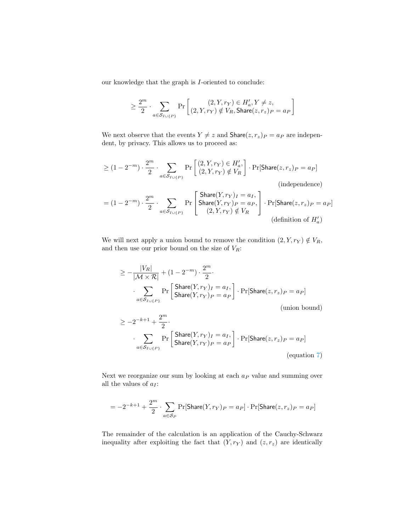our knowledge that the graph is I-oriented to conclude:

$$
\geq \frac{2^m}{2} \cdot \sum_{a \in \mathcal{S}_{I \cup \{P\}}} \Pr \left[ \frac{(2, Y, r_Y) \in H_a', Y \neq z,}{(2, Y, r_Y) \notin V_R, \text{Share}(z, r_z)_P = a_P} \right]
$$

We next observe that the events  $Y \neq z$  and  $\textsf{Share}(z, r_z)P = a_P$  are independent, by privacy. This allows us to proceed as:

$$
\geq (1 - 2^{-m}) \cdot \frac{2^m}{2} \cdot \sum_{a \in S_{I \cup \{P\}}} \Pr\left[\frac{(2, Y, r_Y) \in H'_a}{(2, Y, r_Y) \notin V_R}\right] \cdot \Pr[\text{Share}(z, r_z) \in [a, a], \text{ (independence)}
$$
\n
$$
= (1 - 2^{-m}) \cdot \frac{2^m}{2} \cdot \sum_{\{P\}} \Pr\left[\text{Share}(Y, r_Y) \in [a, a], \text{Per}(\text{Share}(z, r_z) \in [b, a], \text{Per}(\text{Share}(z, r_z) \in [b, a], \text{Per}(\text{Share}(z, r_z) \in [b, a], \text{Per}(\text{Share}(z, r_z) \in [b, a], \text{Per}(\text{Share}(z, r_z) \in [b, a], \text{Per}(\text{Exch}(\text{Exch}(\text{Exch}(\text{Exch}(\text{Exch}(\text{Exch}(\text{Exch}(\text{Exch}(\text{Exch}(\text{Exch}(\text{Exch}(\text{Exch}(\text{Exch}(\text{Exch}(\text{Exch}(\text{Exch}(\text{Exch}(\text{Exch}(\text{Exch}(\text{Exch}(\text{Exch}(\text{Exch}(\text{Exch}(\text{Exch}(\text{Exch}(\text{Exch}(\text{Exch}(\text{Exch}(\text{Exch}(\text{Exch}(\text{Exch}(\text{Exch}(\text{Exch}(\text{Exch}(\text{Exch}(\text{Exch}(\text{Exch}(\text{Exch}(\text{Exch}(\text{Exch}(\text{Exch}(\text{Exch}(\text{Exch}(\text{Exch}(\text{Exch}(\text{Exch}(\text{Exch}(\text{Exch}(\text{Exch}(\text{Exch}(\text{Exch}(\text{Exch}(\text{Exch}(\text{Exch}(\text{Exch}(\text{Exch}(\text{Exch}(\text{Exch}(\text{Exch}(\text{Exch}(\text{Exch}(\text{Exch}(\text{Exch}(\text{Exch}(\text{Exch}(\text{Exch}(\text{Exch}(\text{Exch}(\text{Exch}(\text{Exch}(\text{Exch}(\text{Exch}(\text{Exch}(\text{Exch}(\text{Exch}(\text{Exch}(\text{Exch}(\text{Exch}(\text{Exch}(\text{Exch}(\text
$$

$$
= (1 - 2^{-m}) \cdot \frac{2^m}{2} \cdot \sum_{a \in S_{I \cup \{P\}}} \Pr\left[\frac{\text{Share}(I, r_{Y})_I = a_I,}{(2, Y, r_{Y})_P = a_P, \cdot}\right] \cdot \Pr[\text{Share}(z, r_z)_P = a_P] \cdot \Pr[\text{Share}(z, r_z)_P = a_P] \cdot \Pr[\text{Share}(z, r_z)_P = a_P] \cdot \Pr[\text{Share}(z, r_z)_P = a_P] \cdot \Pr[\text{Share}(z, r_z)_P = a_P] \cdot \Pr[\text{Share}(z, r_z)_P = a_P] \cdot \Pr[\text{Share}(z, r_z)_P = a_P] \cdot \Pr[\text{Share}(z, r_z)_P = a_P] \cdot \Pr[\text{Share}(z, r_z)_P = a_P] \cdot \Pr[\text{Share}(z, r_z)_P = a_P] \cdot \Pr[\text{Share}(z, r_z)_P = a_P] \cdot \Pr[\text{Share}(z, r_z)_P = a_P] \cdot \Pr[\text{Share}(z, r_z)_P = a_P] \cdot \Pr[\text{Share}(z, r_z)_P = a_P] \cdot \Pr[\text{Share}(z, r_z)_P = a_P] \cdot \Pr[\text{Share}(z, r_z)_P = a_P] \cdot \Pr[\text{Share}(z, r_z)_P = a_P] \cdot \Pr[\text{Share}(z, r_z)_P = a_P] \cdot \Pr[\text{Share}(z, r_z)_P = a_P] \cdot \Pr[\text{Share}(z, r_z)_P = a_P] \cdot \Pr[\text{Share}(z, r_z)_P = a_P] \cdot \Pr[\text{Matrix}(z, r_z)_P = a_P] \cdot \Pr[\text{Matrix}(z, r_z)_P = a_P] \cdot \Pr[\text{Matrix}(z, r_z)_P = a_P] \cdot \Pr[\text{Matrix}(z, r_z)_P = a_P] \cdot \Pr[\text{Matrix}(z, r_z)_P = a_P] \cdot \Pr[\text{Matrix}(z, r_z)_P = a_P] \cdot \Pr[\text{Matrix}(z, r_z)_P = a_P] \cdot \Pr[\text{Matrix}(z, r_z)_P = a_P] \cdot \Pr[\text{Matrix}(z, r_z)_P = a_P] \cdot \Pr[\text{Matrix}(z, r_z)_P = a_P] \cdot \Pr[\text{Matrix}(z, r_z)_P = a_P] \cdot \Pr[\text{Matrix}(z, r_z)_P = a_P] \cdot \Pr[\text{Matrix}(z, r_z)_P = a_P] \cdot \Pr[\text{Matrix}(z, r_z)_P = a_P] \cdot \Pr[\text{Matrix}(z, r
$$

We will next apply a union bound to remove the condition  $(2, Y, r_Y) \notin V_R$ , and then use our prior bound on the size of  $V_R\colon$ 

$$
\geq -\frac{|V_R|}{|\mathcal{M} \times \mathcal{R}|} + (1 - 2^{-m}) \cdot \frac{2^m}{2} \cdot \sum_{a \in \mathcal{S}_{I \cup \{P\}}} \Pr\left[\text{Share}(Y, r_Y)_I = a_I, \right] \cdot \Pr[\text{Share}(z, r_z)_P = a_P]
$$

(union bound)

$$
\geq -2^{-k+1} + \frac{2^m}{2} \cdot \sum_{a \in S_{I \cup \{P\}}} \Pr\left[\text{Share}(Y, r_Y)_I = a_I, \right] \cdot \Pr[\text{Share}(z, r_z)_P = a_P] \tag{equation 7}
$$

Next we reorganize our sum by looking at each  $a_P$  value and summing over all the values of  $a_I$ :

$$
= -2^{-k+1} + \frac{2^m}{2} \cdot \sum_{a \in \mathcal{S}_P} \Pr[\text{Share}(Y, r_Y)_P = a_P] \cdot \Pr[\text{Share}(z, r_z)_P = a_P]
$$

The remainder of the calculation is an application of the Cauchy-Schwarz inequality after exploiting the fact that  $(Y, r_Y)$  and  $(z, r_z)$  are identically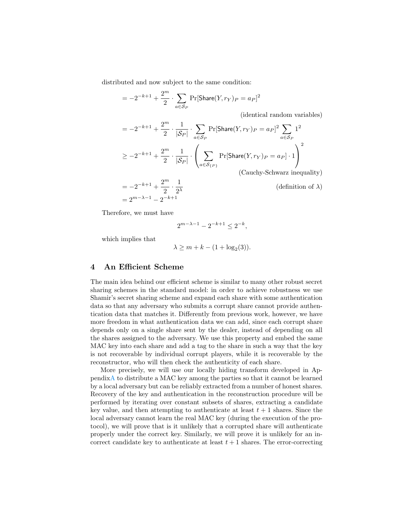distributed and now subject to the same condition:

$$
= -2^{-k+1} + \frac{2^m}{2} \cdot \sum_{a \in \mathcal{S}_P} \Pr[\text{Share}(Y, r_Y)_P = a_P]^2
$$

(identical random variables)

$$
= -2^{-k+1} + \frac{2^m}{2} \cdot \frac{1}{|\mathcal{S}_P|} \cdot \sum_{a \in \mathcal{S}_P} \Pr[\text{Share}(Y, r_Y)_P = a_P]^2 \sum_{a \in \mathcal{S}_P} 1^2
$$

$$
\ge -2^{-k+1} + \frac{2^m}{2} \cdot \frac{1}{|\mathcal{S}_P|} \cdot \left(\sum_{a \in \mathcal{S}_{\{P\}}} \Pr[\text{Share}(Y, r_Y)_P = a_P] \cdot 1\right)^2
$$

(Cauchy-Schwarz inequality)

 $=-2^{-k+1}+\frac{2^m}{2}$  $\frac{2^m}{2} \cdot \frac{1}{2^m}$  $2^{\lambda}$  $= 2^{m-\lambda-1} - 2^{-k+1}$ 

(definition of  $\lambda$ )

Therefore, we must have

$$
2^{m-\lambda-1} - 2^{-k+1} \le 2^{-k},
$$

which implies that

$$
\lambda \ge m + k - (1 + \log_2(3)).
$$

# 4 An Efficient Scheme

The main idea behind our efficient scheme is similar to many other robust secret sharing schemes in the standard model: in order to achieve robustness we use Shamir's secret sharing scheme and expand each share with some authentication data so that any adversary who submits a corrupt share cannot provide authentication data that matches it. Differently from previous work, however, we have more freedom in what authentication data we can add, since each corrupt share depends only on a single share sent by the dealer, instead of depending on all the shares assigned to the adversary. We use this property and embed the same MAC key into each share and add a tag to the share in such a way that the key is not recoverable by individual corrupt players, while it is recoverable by the reconstructor, who will then check the authenticity of each share.

More precisely, we will use our locally hiding transform developed in Appendi[xA](#page-23-8) to distribute a MAC key among the parties so that it cannot be learned by a local adversary but can be reliably extracted from a number of honest shares. Recovery of the key and authentication in the reconstruction procedure will be performed by iterating over constant subsets of shares, extracting a candidate key value, and then attempting to authenticate at least  $t + 1$  shares. Since the local adversary cannot learn the real MAC key (during the execution of the protocol), we will prove that is it unlikely that a corrupted share will authenticate properly under the correct key. Similarly, we will prove it is unlikely for an incorrect candidate key to authenticate at least  $t + 1$  shares. The error-correcting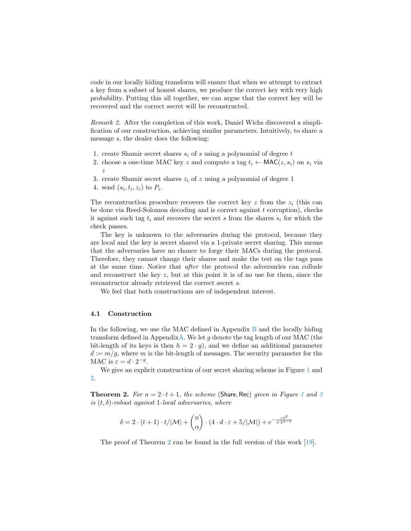code in our locally hiding transform will ensure that when we attempt to extract a key from a subset of honest shares, we produce the correct key with very high probability. Putting this all together, we can argue that the correct key will be recovered and the correct secret will be reconstructed.

Remark 2. After the completion of this work, Daniel Wichs discovered a simplification of our construction, achieving similar parameters. Intuitively, to share a message s, the dealer does the following:

- 1. create Shamir secret shares  $s_i$  of s using a polynomial of degree t
- 2. choose a one-time MAC key z and compute a tag  $t_i \leftarrow \text{MAC}(z, s_i)$  on  $s_i$  via z
- 3. create Shamir secret shares  $z_i$  of z using a polynomial of degree 1
- 4. send  $(s_i, t_i, z_i)$  to  $P_i$ .

The reconstruction procedure recovers the correct key  $z$  from the  $z_i$  (this can be done via Reed-Solomon decoding and is correct against t corruption), checks it against each tag  $t_i$  and recovers the secret s from the shares  $s_i$  for which the check passes.

The key is unknown to the adversaries during the protocol, because they are local and the key is secret shared via a 1-private secret sharing. This means that the adversaries have no chance to forge their MACs during the protocol. Therefore, they cannot change their shares and make the test on the tags pass at the same time. Notice that after the protocol the adversaries can collude and reconstruct the key  $z$ , but at this point it is of no use for them, since the reconstructor already retrieved the correct secret s.

We feel that both constructions are of independent interest.

# 4.1 Construction

In the following, we use the MAC defined in Appendix  $B$  and the locally hiding transform defined in Appendi[xA.](#page-23-8) We let g denote the tag length of our MAC (the bit-length of its keys is then  $h = 2 \cdot g$ , and we define an additional parameter  $d := m/g$ , where m is the bit-length of messages. The security parameter for the MAC is  $\varepsilon = d \cdot 2^{-g}$ .

We give an explicit construction of our secret sharing scheme in Figure [1](#page-21-0) and [2.](#page-21-1)

<span id="page-20-0"></span>**Theorem [2](#page-21-1).** For  $n = 2 \cdot t + 1$  $n = 2 \cdot t + 1$ , the scheme (Share, Rec) given in Figure 1 and 2 is  $(t, \delta)$ -robust against 1-local adversaries, where

$$
\delta = 2 \cdot (t+1) \cdot t / |\mathcal{M}| + \binom{n}{\alpha} \cdot (4 \cdot d \cdot \varepsilon + 5 / |\mathcal{M}|) + e^{-\frac{c \beta^2}{3 \cdot 2^{\alpha - 1}}}
$$

<span id="page-20-1"></span>The proof of Theorem [2](#page-20-0) can be found in the full version of this work [\[19\]](#page-23-9).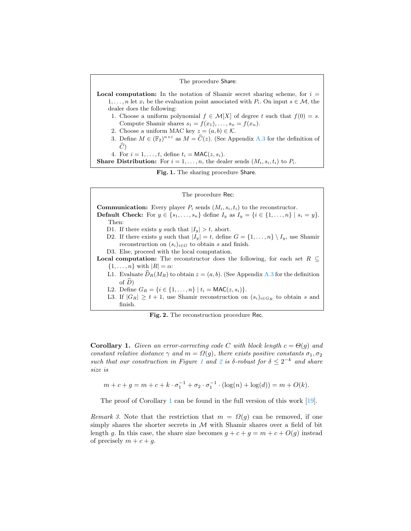#### The procedure Share:

**Local computation:** In the notation of Shamir secret sharing scheme, for  $i =$ 1, ..., *n* let  $x_i$  be the evaluation point associated with  $P_i$ . On input  $s \in \mathcal{M}$ , the dealer does the following: 1. Choose a uniform polynomial  $f \in \mathcal{M}[X]$  of degree t such that  $f(0) = s$ . Compute Shamir shares  $s_1 = f(x_1), \ldots, s_n = f(x_n)$ . 2. Choose a uniform MAC key  $z = (a, b) \in \mathcal{K}$ . 3. Define  $M \in (\mathbb{F}_2)^{n \times c}$  as  $M = \widehat{C}(z)$ . (See Appendix [A.3](#page-26-1) for the definition of  $\widehat{C}$ 4. For  $i = 1, ..., t$ , define  $t_i = \text{MAC}(z, s_i)$ .

**Share Distribution:** For  $i = 1, ..., n$ , the dealer sends  $(M_i, s_i, t_i)$  to  $P_i$ .

<span id="page-21-0"></span>Fig. 1. The sharing procedure Share.

The procedure Rec:

**Communication:** Every player  $P_i$  sends  $(M_i, s_i, t_i)$  to the reconstructor. **Default Check:** For  $y \in \{s_1, ..., s_n\}$  define  $I_y$  as  $I_y = \{i \in \{1, ..., n\} | s_i = y\}.$ Then: D1. If there exists y such that  $|I_y| > t$ , abort. D2. If there exists y such that  $|I_y| = t$ , define  $G = \{1, ..., n\} \setminus I_y$ , use Shamir reconstruction on  $(s_i)_{i \in G}$  to obtain s and finish. D3. Else, proceed with the local computation. **Local computation:** The reconstructor does the following, for each set R  $\subset$  $\{1, \ldots, n\}$  with  $|R| = \alpha$ : L1. Evaluate  $\widehat{D}_R(M_R)$  to obtain  $z = (a, b)$ . (See Appendix [A.3](#page-26-1) for the definition of  $\hat{D}$ )

- L2. Define  $G_R = \{i \in \{1, ..., n\} \mid t_i = \text{MAC}(z, s_i)\}.$
- L3. If  $|G_R| \geq t+1$ , use Shamir reconstruction on  $(s_i)_{i \in G_R}$  to obtain s and finish.

<span id="page-21-1"></span>Fig. 2. The reconstruction procedure Rec.

**Corollary 1.** Given an error-correcting code C with block length  $c = \Theta(q)$  and constant relative distance  $\gamma$  and  $m = \Omega(q)$ , there exists positive constants  $\sigma_1, \sigma_2$ such that our construction in Figure [1](#page-21-0) and [2](#page-21-1) is  $\delta$ -robust for  $\delta \leq 2^{-k}$  and share size is

$$
m + c + g = m + c + k \cdot \sigma_1^{-1} + \sigma_2 \cdot \sigma_1^{-1} \cdot (\log(n) + \log(d)) = m + O(k).
$$

The proof of Corollary [1](#page-20-1) can be found in the full version of this work [\[19\]](#page-23-9).

Remark 3. Note that the restriction that  $m = \Omega(g)$  can be removed, if one simply shares the shorter secrets in  $\mathcal M$  with Shamir shares over a field of bit length g. In this case, the share size becomes  $g + c + g = m + c + O(g)$  instead of precisely  $m + c + g$ .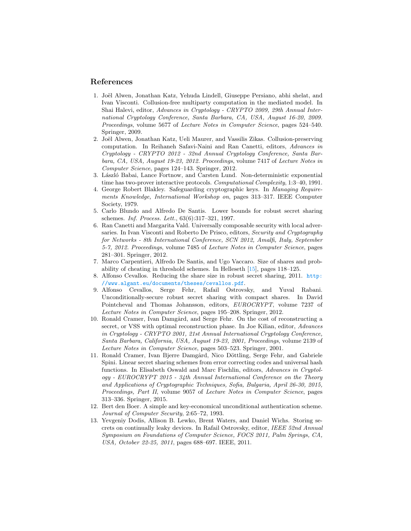# References

- <span id="page-22-8"></span>1. Joël Alwen, Jonathan Katz, Yehuda Lindell, Giuseppe Persiano, abhi shelat, and Ivan Visconti. Collusion-free multiparty computation in the mediated model. In Shai Halevi, editor, Advances in Cryptology - CRYPTO 2009, 29th Annual International Cryptology Conference, Santa Barbara, CA, USA, August 16-20, 2009. Proceedings, volume 5677 of Lecture Notes in Computer Science, pages 524–540. Springer, 2009.
- <span id="page-22-11"></span>2. Joël Alwen, Jonathan Katz, Ueli Maurer, and Vassilis Zikas. Collusion-preserving computation. In Reihaneh Safavi-Naini and Ran Canetti, editors, Advances in Cryptology - CRYPTO 2012 - 32nd Annual Cryptology Conference, Santa Barbara, CA, USA, August 19-23, 2012. Proceedings, volume 7417 of Lecture Notes in Computer Science, pages 124–143. Springer, 2012.
- <span id="page-22-6"></span>3. László Babai, Lance Fortnow, and Carsten Lund. Non-deterministic exponential time has two-prover interactive protocols. Computational Complexity, 1:3–40, 1991.
- <span id="page-22-0"></span>4. George Robert Blakley. Safeguarding cryptographic keys. In Managing Requirements Knowledge, International Workshop on, pages 313–317. IEEE Computer Society, 1979.
- <span id="page-22-2"></span>5. Carlo Blundo and Alfredo De Santis. Lower bounds for robust secret sharing schemes. Inf. Process. Lett., 63(6):317–321, 1997.
- <span id="page-22-9"></span>6. Ran Canetti and Margarita Vald. Universally composable security with local adversaries. In Ivan Visconti and Roberto De Prisco, editors, Security and Cryptography for Networks - 8th International Conference, SCN 2012, Amalfi, Italy, September 5-7, 2012. Proceedings, volume 7485 of Lecture Notes in Computer Science, pages 281–301. Springer, 2012.
- <span id="page-22-1"></span>7. Marco Carpentieri, Alfredo De Santis, and Ugo Vaccaro. Size of shares and probability of cheating in threshold schemes. In Helleseth [\[15\]](#page-23-10), pages 118–125.
- <span id="page-22-5"></span>8. Alfonso Cevallos. Reducing the share size in robust secret sharing, 2011. [http:](http://www.algant.eu/documents/theses/cevallos.pdf) [//www.algant.eu/documents/theses/cevallos.pdf](http://www.algant.eu/documents/theses/cevallos.pdf).
- <span id="page-22-4"></span>9. Alfonso Cevallos, Serge Fehr, Rafail Ostrovsky, and Yuval Rabani. Unconditionally-secure robust secret sharing with compact shares. In David Pointcheval and Thomas Johansson, editors, EUROCRYPT, volume 7237 of Lecture Notes in Computer Science, pages 195–208. Springer, 2012.
- <span id="page-22-3"></span>10. Ronald Cramer, Ivan Damgård, and Serge Fehr. On the cost of reconstructing a secret, or VSS with optimal reconstruction phase. In Joe Kilian, editor, Advances in Cryptology - CRYPTO 2001, 21st Annual International Cryptology Conference, Santa Barbara, California, USA, August 19-23, 2001, Proceedings, volume 2139 of Lecture Notes in Computer Science, pages 503–523. Springer, 2001.
- <span id="page-22-7"></span>11. Ronald Cramer, Ivan Bjerre Damgård, Nico Döttling, Serge Fehr, and Gabriele Spini. Linear secret sharing schemes from error correcting codes and universal hash functions. In Elisabeth Oswald and Marc Fischlin, editors, Advances in Cryptology - EUROCRYPT 2015 - 34th Annual International Conference on the Theory and Applications of Cryptographic Techniques, Sofia, Bulgaria, April 26-30, 2015, Proceedings, Part II, volume 9057 of Lecture Notes in Computer Science, pages 313–336. Springer, 2015.
- <span id="page-22-12"></span>12. Bert den Boer. A simple and key-economical unconditional authentication scheme. Journal of Computer Security, 2:65–72, 1993.
- <span id="page-22-10"></span>13. Yevgeniy Dodis, Allison B. Lewko, Brent Waters, and Daniel Wichs. Storing secrets on continually leaky devices. In Rafail Ostrovsky, editor, IEEE 52nd Annual Symposium on Foundations of Computer Science, FOCS 2011, Palm Springs, CA, USA, October 22-25, 2011, pages 688–697. IEEE, 2011.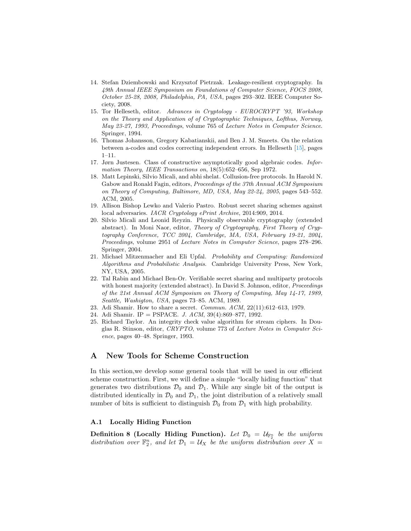- <span id="page-23-5"></span>14. Stefan Dziembowski and Krzysztof Pietrzak. Leakage-resilient cryptography. In 49th Annual IEEE Symposium on Foundations of Computer Science, FOCS 2008, October 25-28, 2008, Philadelphia, PA, USA, pages 293–302. IEEE Computer Society, 2008.
- <span id="page-23-10"></span>15. Tor Helleseth, editor. Advances in Cryptology - EUROCRYPT '93, Workshop on the Theory and Application of of Cryptographic Techniques, Lofthus, Norway, May 23-27, 1993, Proceedings, volume 765 of Lecture Notes in Computer Science. Springer, 1994.
- <span id="page-23-11"></span>16. Thomas Johansson, Gregory Kabatianskii, and Ben J. M. Smeets. On the relation between a-codes and codes correcting independent errors. In Helleseth [\[15\]](#page-23-10), pages 1–11.
- <span id="page-23-7"></span>17. Jørn Justesen. Class of constructive asymptotically good algebraic codes. Information Theory, IEEE Transactions on, 18(5):652–656, Sep 1972.
- <span id="page-23-2"></span>18. Matt Lepinski, Silvio Micali, and abhi shelat. Collusion-free protocols. In Harold N. Gabow and Ronald Fagin, editors, Proceedings of the 37th Annual ACM Symposium on Theory of Computing, Baltimore, MD, USA, May 22-24, 2005, pages 543–552. ACM, 2005.
- <span id="page-23-9"></span>19. Allison Bishop Lewko and Valerio Pastro. Robust secret sharing schemes against local adversaries. IACR Cryptology ePrint Archive, 2014:909, 2014.
- <span id="page-23-4"></span>20. Silvio Micali and Leonid Reyzin. Physically observable cryptography (extended abstract). In Moni Naor, editor, Theory of Cryptography, First Theory of Cryptography Conference, TCC 2004, Cambridge, MA, USA, February 19-21, 2004, Proceedings, volume 2951 of Lecture Notes in Computer Science, pages 278–296. Springer, 2004.
- <span id="page-23-6"></span>21. Michael Mitzenmacher and Eli Upfal. Probability and Computing: Randomized Algorithms and Probabilistic Analysis. Cambridge University Press, New York, NY, USA, 2005.
- <span id="page-23-1"></span>22. Tal Rabin and Michael Ben-Or. Verifiable secret sharing and multiparty protocols with honest majority (extended abstract). In David S. Johnson, editor, *Proceedings* of the 21st Annual ACM Symposium on Theory of Computing, May 14-17, 1989, Seattle, Washigton, USA, pages 73–85. ACM, 1989.
- <span id="page-23-0"></span>23. Adi Shamir. How to share a secret. Commun. ACM, 22(11):612–613, 1979.
- <span id="page-23-3"></span>24. Adi Shamir. IP = PSPACE. J. ACM, 39(4):869–877, 1992.
- <span id="page-23-12"></span>25. Richard Taylor. An integrity check value algorithm for stream ciphers. In Douglas R. Stinson, editor, CRYPTO, volume 773 of Lecture Notes in Computer Science, pages 40–48. Springer, 1993.

# <span id="page-23-8"></span>A New Tools for Scheme Construction

In this section,we develop some general tools that will be used in our efficient scheme construction. First, we will define a simple "locally hiding function" that generates two distributions  $\mathcal{D}_0$  and  $\mathcal{D}_1$ . While any single bit of the output is distributed identically in  $\mathcal{D}_0$  and  $\mathcal{D}_1$ , the joint distribution of a relatively small number of bits is sufficient to distinguish  $\mathcal{D}_0$  from  $\mathcal{D}_1$  with high probability.

### A.1 Locally Hiding Function

Definition 8 (Locally Hiding Function). Let  $\mathcal{D}_0 = \mathcal{U}_{\mathbb{F}_2^n}$  be the uniform distribution over  $\mathbb{F}_2^n$ , and let  $\mathcal{D}_1 = \mathcal{U}_X$  be the uniform distribution over  $X =$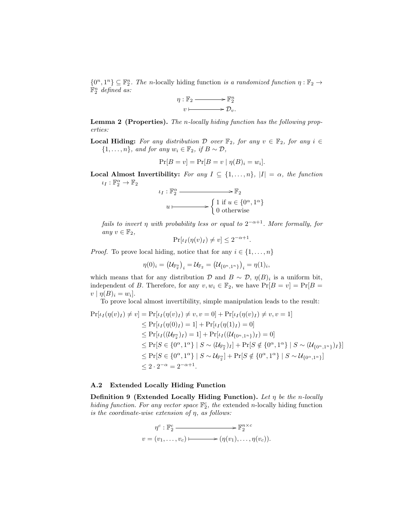$\{0^n, 1^n\} \subseteq \mathbb{F}_2^n$ . The n-locally hiding function is a randomized function  $\eta : \mathbb{F}_2 \to$  $\mathbb{F}_2^n$  defined as:



Lemma 2 (Properties). The n-locally hiding function has the following properties:

**Local Hiding:** For any distribution  $D$  over  $\mathbb{F}_2$ , for any  $v \in \mathbb{F}_2$ , for any  $i \in$  $\{1, \ldots, n\}$ , and for any  $w_i \in \mathbb{F}_2$ , if  $B \sim \mathcal{D}$ ,

$$
\Pr[B = v] = \Pr[B = v \mid \eta(B)_i = w_i].
$$

**Local Almost Invertibility:** For any  $I \subseteq \{1, ..., n\}$ ,  $|I| = \alpha$ , the function  $\iota_I : \mathbb{F}_2^{\alpha} \to \mathbb{F}_2$ 

$$
\iota_I : \mathbb{F}_2^{\alpha} \longrightarrow \mathbb{F}_2
$$
\n
$$
u \longmapsto \begin{cases} 1 \text{ if } u \in \{0^{\alpha}, 1^{\alpha}\} \\ 0 \text{ otherwise} \end{cases}
$$

fails to invert  $\eta$  with probability less or equal to  $2^{-\alpha+1}$ . More formally, for any  $v \in \mathbb{F}_2$ ,

$$
\Pr[\iota_I(\eta(v)_I) \neq v] \le 2^{-\alpha+1}.
$$

*Proof.* To prove local hiding, notice that for any  $i \in \{1, \ldots, n\}$ 

$$
\eta(0)_i=\left(\mathcal{U}_{\mathbb{F}_2^n}\right)_i=\mathcal{U}_{\mathbb{F}_2}=\left(\mathcal{U}_{\{0^n,1^n\}}\right)_i=\eta(1)_i,
$$

which means that for any distribution  $\mathcal{D}$  and  $B \sim \mathcal{D}$ ,  $\eta(B)_i$  is a uniform bit, independent of B. Therefore, for any  $v, w_i \in \mathbb{F}_2$ , we have  $Pr[B = v] = Pr[B = v]$  $v \mid \eta(B)_i = w_i$ .

To prove local almost invertibility, simple manipulation leads to the result:

$$
\Pr[\iota_I(\eta(v)_I) \neq v] = \Pr[\iota_I(\eta(v)_I) \neq v, v = 0] + \Pr[\iota_I(\eta(v)_I) \neq v, v = 1] \leq \Pr[\iota_I(\eta(0)_I) = 1] + \Pr[\iota_I(\eta(1)_I) = 0] \leq \Pr[\iota_I((\mathcal{U}_{\mathbb{F}_2^n})_I) = 1] + \Pr[\iota_I((\mathcal{U}_{\{0^n, 1^n\}})_I) = 0] \leq \Pr[S \in \{0^\alpha, 1^\alpha\} \mid S \sim (\mathcal{U}_{\mathbb{F}_2^n})_I] + \Pr[S \notin \{0^\alpha, 1^\alpha\} \mid S \sim (\mathcal{U}_{\{0^n, 1^n\}})_I] \leq \Pr[S \in \{0^\alpha, 1^\alpha\} \mid S \sim \mathcal{U}_{\mathbb{F}_2^n}] + \Pr[S \notin \{0^\alpha, 1^\alpha\} \mid S \sim \mathcal{U}_{\{0^\alpha, 1^\alpha\}}] \leq 2 \cdot 2^{-\alpha} = 2^{-\alpha + 1}.
$$

### A.2 Extended Locally Hiding Function

Definition 9 (Extended Locally Hiding Function). Let  $\eta$  be the n-locally hiding function. For any vector space  $\mathbb{F}_2^c$ , the extended n-locally hiding function is the coordinate-wise extension of  $\eta$ , as follows:

$$
\eta^c: \mathbb{F}_2^c \xrightarrow{\qquad \qquad \longrightarrow} \mathbb{F}_2^{n \times c}
$$

$$
v = (v_1, \dots, v_c) \xrightarrow{\qquad \qquad } (\eta(v_1), \dots, \eta(v_c)).
$$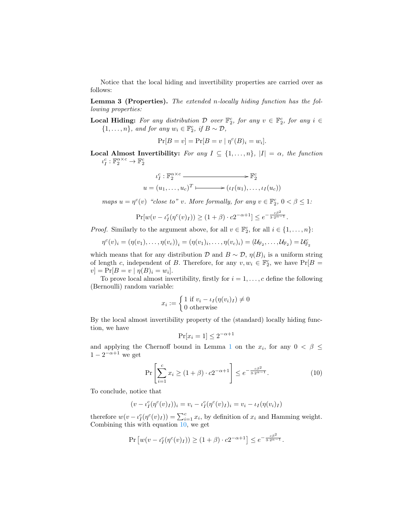Notice that the local hiding and invertibility properties are carried over as follows:

Lemma 3 (Properties). The extended n-locally hiding function has the following properties:

**Local Hiding:** For any distribution  $D$  over  $\mathbb{F}_2^c$ , for any  $v \in \mathbb{F}_2^c$ , for any  $i \in$  $\{1,\ldots,n\}$ , and for any  $w_i \in \mathbb{F}_2^c$ , if  $B \sim \mathcal{D}$ ,

$$
Pr[B = v] = Pr[B = v \mid \eta^{c}(B)_{i} = w_{i}].
$$

**Local Almost Invertibility:** For any  $I \subseteq \{1, \ldots, n\}$ ,  $|I| = \alpha$ , the function  $\iota_I^c : \mathbb{F}_2^{\alpha \times c} \to \mathbb{F}_2^c$ 

$$
\iota_I^c : \mathbb{F}_2^{\alpha \times c} \longrightarrow \mathbb{F}_2^c
$$
  

$$
u = (u_1, \dots, u_c)^T \longmapsto (\iota_I(u_1), \dots, \iota_I(u_c))
$$

maps  $u = \eta^c(v)$  "close to" v. More formally, for any  $v \in \mathbb{F}_2^c$ ,  $0 < \beta \leq 1$ :

$$
\Pr[w(v - \iota_I^c(\eta^c(v)_I)) \ge (1+\beta) \cdot c2^{-\alpha+1}] \le e^{-\frac{c\beta^2}{3 \cdot 2^{\alpha-1}}}.
$$

*Proof.* Similarly to the argument above, for all  $v \in \mathbb{F}_2^c$ , for all  $i \in \{1, ..., n\}$ :

$$
\eta^{c}(v)_{i}=(\eta(v_{1}),\ldots,\eta(v_{c}))_{i}=(\eta(v_{1})_{i},\ldots,\eta(v_{c})_{i})=(\mathcal{U}_{\mathbb{F}_{2}},\ldots,\mathcal{U}_{\mathbb{F}_{2}})=\mathcal{U}_{\mathbb{F}_{2}}^{c}
$$

which means that for any distribution  $\mathcal{D}$  and  $B \sim \mathcal{D}$ ,  $\eta(B)_i$  is a uniform string of length c, independent of B. Therefore, for any  $v, w_i \in \mathbb{F}_2^c$ , we have  $Pr[B =$  $[v] = Pr[B = v | \eta(B)_i = w_i].$ 

To prove local almost invertibility, firstly for  $i = 1, \ldots, c$  define the following (Bernoulli) random variable:

$$
x_i := \begin{cases} 1 \text{ if } v_i - \iota_I(\eta(v_i)_I) \neq 0 \\ 0 \text{ otherwise} \end{cases}
$$

By the local almost invertibility property of the (standard) locally hiding function, we have

$$
\Pr[x_i = 1] \le 2^{-\alpha + 1}
$$

and applying the Chernoff bound in Lemma [1](#page-6-0) on the  $x_i$ , for any  $0 < \beta \leq$  $1-2^{-\alpha+1}$  we get

<span id="page-25-0"></span>
$$
\Pr\left[\sum_{i=1}^{c} x_i \ge (1+\beta) \cdot c2^{-\alpha+1}\right] \le e^{-\frac{c\beta^2}{3 \cdot 2^{\alpha-1}}}.
$$
 (10)

To conclude, notice that

$$
(v - \iota_I^c(\eta^c(v)_I))_i = v_i - \iota_I^c(\eta^c(v)_I)_i = v_i - \iota_I(\eta(v_i)_I)
$$

therefore  $w(v - \iota_I^c(\eta^c(v)_I)) = \sum_{i=1}^c x_i$ , by definition of  $x_i$  and Hamming weight. Combining this with equation [10,](#page-25-0) we get

$$
\Pr\left[w(v - \iota_I^c(\eta^c(v)_I)) \ge (1+\beta) \cdot c2^{-\alpha+1}\right] \le e^{-\frac{c\beta^2}{3 \cdot 2^{\alpha-1}}}.
$$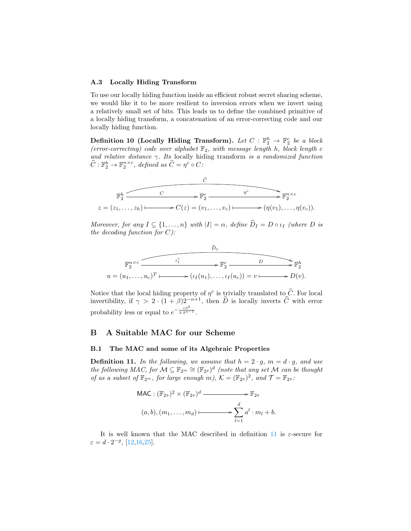### <span id="page-26-1"></span>A.3 Locally Hiding Transform

To use our locally hiding function inside an efficient robust secret sharing scheme, we would like it to be more resilient to inversion errors when we invert using a relatively small set of bits. This leads us to define the combined primitive of a locally hiding transform, a concatenation of an error-correcting code and our locally hiding function.

Definition 10 (Locally Hiding Transform). Let  $C: \mathbb{F}_2^h \to \mathbb{F}_2^c$  be a block (error-correcting) code over alphabet  $\mathbb{F}_2$ , with message length h, block length c and relative distance  $\gamma$ . Its locally hiding transform is a randomized function  $\widehat{C} : \mathbb{F}_2^h \to \mathbb{F}_2^{n \times c}$ , defined as  $\widehat{C} = \eta^c \circ C$ :



Moreover, for any  $I \subseteq \{1, ..., n\}$  with  $|I| = \alpha$ , define  $\widehat{D}_I = D \circ \iota_I$  (where D is the decoding function for  $C$ ):



Notice that the local hiding property of  $\eta^c$  is trivially translated to  $\hat{C}$ . For local invertibility, if  $\gamma > 2 \cdot (1 + \beta) 2^{-\alpha+1}$ , then  $\widehat{D}$  is locally inverts  $\widehat{C}$  with error probability less or equal to  $e^{-\frac{c\beta^2}{3\cdot 2^{\alpha-1}}}$ .

# <span id="page-26-0"></span>B A Suitable MAC for our Scheme

# B.1 The MAC and some of its Algebraic Properties

<span id="page-26-2"></span>**Definition 11.** In the following, we assume that  $h = 2 \cdot g$ ,  $m = d \cdot g$ , and use the following MAC, for  $\mathcal{M} \subseteq \mathbb{F}_{2^m} \cong (\mathbb{F}_{2^g})^d$  (note that any set M can be thought of as a subset of  $\mathbb{F}_{2^m}$ , for large enough m),  $\mathcal{K} = (\mathbb{F}_{2^g})^2$ , and  $\mathcal{T} = \mathbb{F}_{2^g}$ .

$$
\mathsf{MAC}: (\mathbb{F}_{2^g})^2 \times (\mathbb{F}_{2^g})^d \longrightarrow \mathbb{F}_{2^g}
$$
  

$$
(a, b), (m_1, \dots, m_d) \longmapsto \sum_{l=1}^d a^l \cdot m_l + b.
$$

<span id="page-26-3"></span>It is well known that the MAC described in definition [11](#page-26-2) is  $\varepsilon$ -secure for  $\varepsilon = d \cdot 2^{-g},$  [\[12,](#page-22-12)[16](#page-23-11)[,25\]](#page-23-12).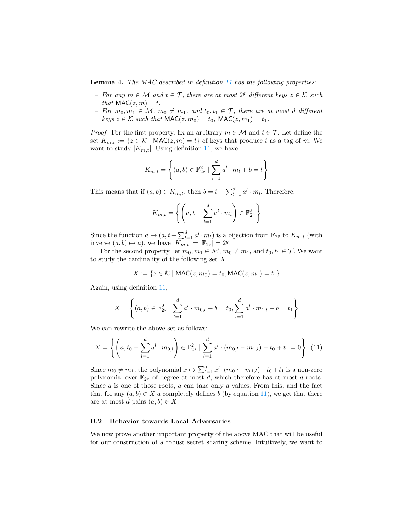**Lemma 4.** The MAC described in definition [11](#page-26-2) has the following properties:

- $-$  For any  $m \in \mathcal{M}$  and  $t \in \mathcal{T}$ , there are at most  $2^g$  different keys  $z \in \mathcal{K}$  such that  $MAC(z, m) = t$ .
- For  $m_0, m_1 \in \mathcal{M}$ ,  $m_0 \neq m_1$ , and  $t_0, t_1 \in \mathcal{T}$ , there are at most d different keys  $z \in \mathcal{K}$  such that  $\text{MAC}(z, m_0) = t_0$ ,  $\text{MAC}(z, m_1) = t_1$ .

*Proof.* For the first property, fix an arbitrary  $m \in \mathcal{M}$  and  $t \in \mathcal{T}$ . Let define the set  $K_{m,t} := \{z \in \mathcal{K} \mid \text{MAC}(z,m) = t\}$  of keys that produce t as a tag of m. We want to study  $|K_{m,t}|$ . Using definition [11,](#page-26-2) we have

$$
K_{m,t} = \left\{ (a,b) \in \mathbb{F}_{2^g}^2 \mid \sum_{l=1}^d a^l \cdot m_l + b = t \right\}
$$

This means that if  $(a, b) \in K_{m,t}$ , then  $b = t - \sum_{l=1}^{d} a^l \cdot m_l$ . Therefore,

$$
K_{m,t} = \left\{ \left( a, t - \sum_{l=1}^{d} a^l \cdot m_l \right) \in \mathbb{F}_{2^g}^2 \right\}
$$

Since the function  $a \mapsto (a, t - \sum_{l=1}^d a^l \cdot m_l)$  is a bijection from  $\mathbb{F}_{2^g}$  to  $K_{m,t}$  (with inverse  $(a, b) \mapsto a$ , we have  $|\overline{K_{m,t}}| = |\mathbb{F}_{2^g}| = 2^g$ .

For the second property, let  $m_0, m_1 \in \mathcal{M}$ ,  $m_0 \neq m_1$ , and  $t_0, t_1 \in \mathcal{T}$ . We want to study the cardinality of the following set X

$$
X := \{ z \in \mathcal{K} \mid \text{MAC}(z, m_0) = t_0, \text{MAC}(z, m_1) = t_1 \}
$$

Again, using definition [11,](#page-26-2)

$$
X = \left\{ (a, b) \in \mathbb{F}_{2^g}^2 \mid \sum_{l=1}^d a^l \cdot m_{0,l} + b = t_0, \sum_{l=1}^d a^l \cdot m_{1,l} + b = t_1 \right\}
$$

We can rewrite the above set as follows:

<span id="page-27-0"></span>
$$
X = \left\{ \left( a, t_0 - \sum_{l=1}^d a^l \cdot m_{0,l} \right) \in \mathbb{F}_{2^g}^2 \mid \sum_{l=1}^d a^l \cdot (m_{0,l} - m_{1,l}) - t_0 + t_1 = 0 \right\}
$$
 (11)

Since  $m_0 \neq m_1$ , the polynomial  $x \mapsto \sum_{l=1}^d x^l \cdot (m_{0,l} - m_{1,l}) - t_0 + t_1$  is a non-zero polynomial over  $\mathbb{F}_{2g}$  of degree at most d, which therefore has at most d roots. Since  $a$  is one of those roots,  $a$  can take only  $d$  values. From this, and the fact that for any  $(a, b) \in X$  a completely defines b (by equation [11\)](#page-27-0), we get that there are at most d pairs  $(a, b) \in X$ .

### B.2 Behavior towards Local Adversaries

We now prove another important property of the above MAC that will be useful for our construction of a robust secret sharing scheme. Intuitively, we want to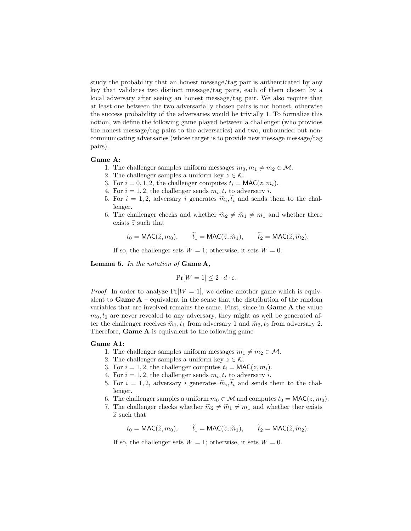study the probability that an honest message/tag pair is authenticated by any key that validates two distinct message/tag pairs, each of them chosen by a local adversary after seeing an honest message/tag pair. We also require that at least one between the two adversarially chosen pairs is not honest, otherwise the success probability of the adversaries would be trivially 1. To formalize this notion, we define the following game played between a challenger (who provides the honest message/tag pairs to the adversaries) and two, unbounded but noncommunicating adversaries (whose target is to provide new message message/tag pairs).

# Game A:

- 1. The challenger samples uniform messages  $m_0, m_1 \neq m_2 \in \mathcal{M}$ .
- 2. The challenger samples a uniform key  $z \in \mathcal{K}$ .
- 3. For  $i = 0, 1, 2$ , the challenger computes  $t_i = \text{MAC}(z, m_i)$ .
- 4. For  $i = 1, 2$ , the challenger sends  $m_i, t_i$  to adversary i.
- 5. For  $i = 1, 2$ , adversary i generates  $\tilde{m}_i, \tilde{t}_i$  and sends them to the challenger.
- 6. The challenger checks and whether  $\tilde{m}_2 \neq \tilde{m}_1 \neq m_1$  and whether there exists  $\widetilde{z}$  such that

$$
t_0 = \text{MAC}(\widetilde{z}, m_0), \qquad \widetilde{t}_1 = \text{MAC}(\widetilde{z}, \widetilde{m}_1), \qquad \widetilde{t}_2 = \text{MAC}(\widetilde{z}, \widetilde{m}_2).
$$

If so, the challenger sets  $W = 1$ ; otherwise, it sets  $W = 0$ .

**Lemma 5.** In the notation of **Game A**,

$$
\Pr[W = 1] \le 2 \cdot d \cdot \varepsilon.
$$

*Proof.* In order to analyze  $Pr[W = 1]$ , we define another game which is equivalent to  $Game A$  – equivalent in the sense that the distribution of the random variables that are involved remains the same. First, since in Game A the value  $m_0, t_0$  are never revealed to any adversary, they might as well be generated after the challenger receives  $\tilde{m}_1, \tilde{t}_1$  from adversary 1 and  $\tilde{m}_2, \tilde{t}_2$  from adversary 2. Therefore, Game A is equivalent to the following game

# Game A1:

- <span id="page-28-0"></span>1. The challenger samples uniform messages  $m_1 \neq m_2 \in \mathcal{M}$ .
- 2. The challenger samples a uniform key  $z \in \mathcal{K}$ .
- 3. For  $i = 1, 2$ , the challenger computes  $t_i = \text{MAC}(z, m_i)$ .
- 4. For  $i = 1, 2$ , the challenger sends  $m_i, t_i$  to adversary i.
- 5. For  $i = 1, 2$ , adversary i generates  $\tilde{m}_i, t_i$  and sends them to the challenger.
- 6. The challenger samples a uniform  $m_0 \in \mathcal{M}$  and computes  $t_0 = \text{MAC}(z, m_0)$ .
- 7. The challenger checks whether  $\tilde{m}_2 \neq \tilde{m}_1 \neq m_1$  and whether ther exists  $\widetilde{z}$  such that

$$
t_0 = \text{MAC}(\widetilde{z}, m_0), \qquad \widetilde{t}_1 = \text{MAC}(\widetilde{z}, \widetilde{m}_1), \qquad \widetilde{t}_2 = \text{MAC}(\widetilde{z}, \widetilde{m}_2).
$$

If so, the challenger sets  $W = 1$ ; otherwise, it sets  $W = 0$ .